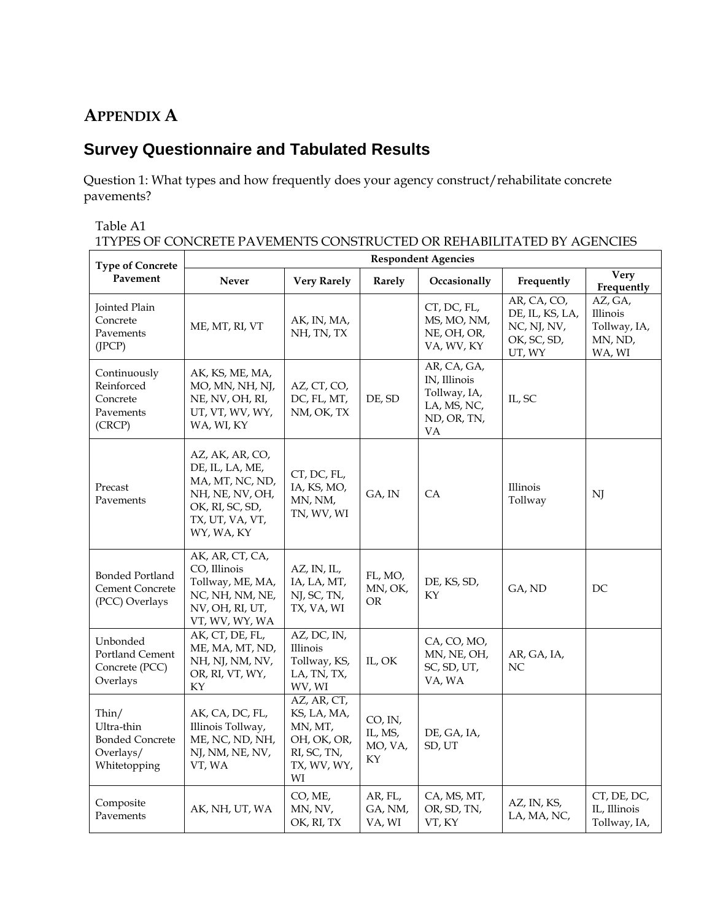# **APPENDIX A**

# **Survey Questionnaire and Tabulated Results**

Question 1: What types and how frequently does your agency construct/rehabilitate concrete pavements?

#### Table A1

1TYPES OF CONCRETE PAVEMENTS CONSTRUCTED OR REHABILITATED BY AGENCIES

| <b>Type of Concrete</b>                                                    | <b>Respondent Agencies</b>                                                                                                   |                                                                                          |                                     |                                                                                 |                                                                        |                                                          |  |
|----------------------------------------------------------------------------|------------------------------------------------------------------------------------------------------------------------------|------------------------------------------------------------------------------------------|-------------------------------------|---------------------------------------------------------------------------------|------------------------------------------------------------------------|----------------------------------------------------------|--|
| Pavement                                                                   | <b>Never</b>                                                                                                                 | <b>Very Rarely</b>                                                                       | Rarely                              | Occasionally                                                                    | Frequently                                                             | Very<br>Frequently                                       |  |
| Jointed Plain<br>Concrete<br>Pavements<br>(JPCP)                           | ME, MT, RI, VT                                                                                                               | AK, IN, MA,<br>NH, TN, TX                                                                |                                     | CT, DC, FL,<br>MS, MO, NM,<br>NE, OH, OR,<br>VA, WV, KY                         | AR, CA, CO,<br>DE, IL, KS, LA,<br>NC, NJ, NV,<br>OK, SC, SD,<br>UT, WY | AZ, GA,<br>Illinois<br>Tollway, IA,<br>MN, ND,<br>WA, WI |  |
| Continuously<br>Reinforced<br>Concrete<br>Pavements<br>(CRCP)              | AK, KS, ME, MA,<br>MO, MN, NH, NJ,<br>NE, NV, OH, RI,<br>UT, VT, WV, WY,<br>WA, WI, KY                                       | AZ, CT, CO,<br>DC, FL, MT,<br>NM, OK, TX                                                 | DE, SD                              | AR, CA, GA,<br>IN, Illinois<br>Tollway, IA,<br>LA, MS, NC,<br>ND, OR, TN,<br>VA | IL, SC                                                                 |                                                          |  |
| Precast<br>Pavements                                                       | AZ, AK, AR, CO,<br>DE, IL, LA, ME,<br>MA, MT, NC, ND,<br>NH, NE, NV, OH,<br>OK, RI, SC, SD,<br>TX, UT, VA, VT,<br>WY, WA, KY | CT, DC, FL,<br>IA, KS, MO,<br>MN, NM,<br>TN, WV, WI                                      | GA, IN                              | <b>CA</b>                                                                       | Illinois<br>Tollway                                                    | NJ                                                       |  |
| <b>Bonded Portland</b><br>Cement Concrete<br>(PCC) Overlays                | AK, AR, CT, CA,<br>CO, Illinois<br>Tollway, ME, MA,<br>NC, NH, NM, NE,<br>NV, OH, RI, UT,<br>VT, WV, WY, WA                  | AZ, IN, IL,<br>IA, LA, MT,<br>NJ, SC, TN,<br>TX, VA, WI                                  | FL, MO,<br>MN, OK,<br><b>OR</b>     | DE, KS, SD,<br>KY                                                               | GA, ND                                                                 | DC                                                       |  |
| Unbonded<br>Portland Cement<br>Concrete (PCC)<br>Overlays                  | AK, CT, DE, FL,<br>ME, MA, MT, ND,<br>NH, NJ, NM, NV,<br>OR, RI, VT, WY,<br>KY                                               | AZ, DC, IN,<br>Illinois<br>Tollway, KS,<br>LA, TN, TX,<br>WV, WI                         | IL, OK                              | CA, CO, MO,<br>MN, NE, OH,<br>SC, SD, UT,<br>VA, WA                             | AR, GA, IA,<br>NC                                                      |                                                          |  |
| Thin/<br>Ultra-thin<br><b>Bonded Concrete</b><br>Overlays/<br>Whitetopping | AK, CA, DC, FL,<br>Illinois Tollway,<br>ME, NC, ND, NH,<br>NJ, NM, NE, NV,<br>VT, WA                                         | AZ, AR, CT,<br>KS, LA, MA,<br>MN, MT,<br>OH, OK, OR,<br>RI, SC, TN,<br>TX, WV, WY,<br>WI | CO, IN,<br>IL, MS,<br>MO, VA,<br>KY | DE, GA, IA,<br>SD, UT                                                           |                                                                        |                                                          |  |
| Composite<br>Pavements                                                     | AK, NH, UT, WA                                                                                                               | CO, ME,<br>MN, NV,<br>OK, RI, TX                                                         | AR, FL,<br>GA, NM,<br>VA, WI        | CA, MS, MT,<br>OR, SD, TN,<br>VT, KY                                            | AZ, IN, KS,<br>LA, MA, NC,                                             | CT, DE, DC,<br>IL, Illinois<br>Tollway, IA,              |  |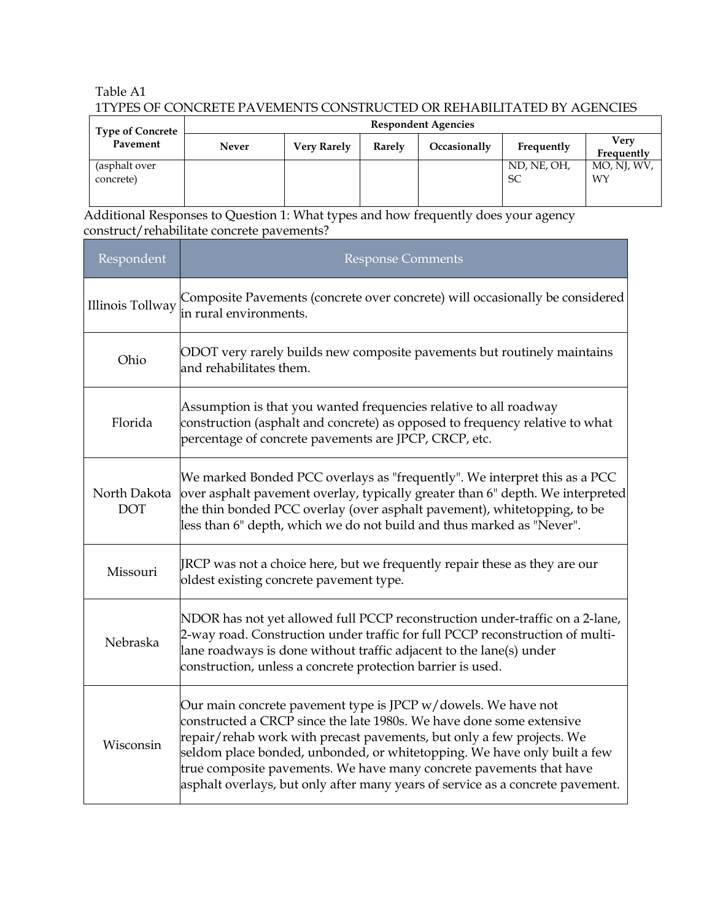## Table A1 1TYPES OF CONCRETE PAVEMENTS CONSTRUCTED OR REHABILITATED BY AGENCIES

| <b>Type of Concrete</b>    | <b>Respondent Agencies</b> |                    |        |              |                   |                    |  |
|----------------------------|----------------------------|--------------------|--------|--------------|-------------------|--------------------|--|
| Pavement                   | <b>Never</b>               | <b>Very Rarely</b> | Rarely | Occasionally | Frequently        | Verv<br>Frequently |  |
| (asphalt over<br>concrete) |                            |                    |        |              | ND, NE, OH,<br>SC | MO, NJ, WV,<br>WY  |  |

Additional Responses to Question 1: What types and how frequently does your agency construct/rehabilitate concrete pavements?

| Respondent                 | <b>Response Comments</b>                                                                                                                                                                                                                                                                                                                                                                                                                               |
|----------------------------|--------------------------------------------------------------------------------------------------------------------------------------------------------------------------------------------------------------------------------------------------------------------------------------------------------------------------------------------------------------------------------------------------------------------------------------------------------|
| <b>Illinois Tollway</b>    | Composite Pavements (concrete over concrete) will occasionally be considered<br>in rural environments.                                                                                                                                                                                                                                                                                                                                                 |
| Ohio                       | ODOT very rarely builds new composite pavements but routinely maintains<br>and rehabilitates them.                                                                                                                                                                                                                                                                                                                                                     |
| Florida                    | Assumption is that you wanted frequencies relative to all roadway<br>construction (asphalt and concrete) as opposed to frequency relative to what<br>percentage of concrete pavements are JPCP, CRCP, etc.                                                                                                                                                                                                                                             |
| North Dakota<br><b>DOT</b> | We marked Bonded PCC overlays as "frequently". We interpret this as a PCC<br>over asphalt pavement overlay, typically greater than 6" depth. We interpreted<br>the thin bonded PCC overlay (over asphalt pavement), whitetopping, to be<br>less than 6" depth, which we do not build and thus marked as "Never".                                                                                                                                       |
| Missouri                   | JRCP was not a choice here, but we frequently repair these as they are our<br>oldest existing concrete pavement type.                                                                                                                                                                                                                                                                                                                                  |
| Nebraska                   | NDOR has not yet allowed full PCCP reconstruction under-traffic on a 2-lane,<br>2-way road. Construction under traffic for full PCCP reconstruction of multi-<br>lane roadways is done without traffic adjacent to the lane(s) under<br>construction, unless a concrete protection barrier is used.                                                                                                                                                    |
| Wisconsin                  | Our main concrete pavement type is JPCP $w/d$ owels. We have not<br>constructed a CRCP since the late 1980s. We have done some extensive<br>repair/rehab work with precast pavements, but only a few projects. We<br>seldom place bonded, unbonded, or whitetopping. We have only built a few<br>true composite pavements. We have many concrete pavements that have<br>asphalt overlays, but only after many years of service as a concrete pavement. |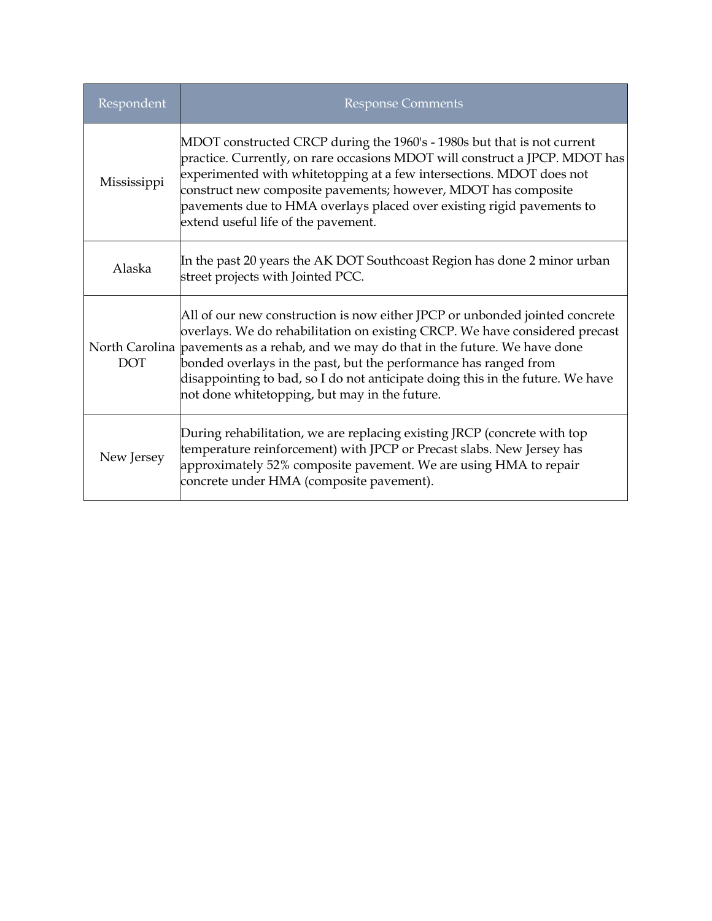| Respondent  | <b>Response Comments</b>                                                                                                                                                                                                                                                                                                                                                                                                                                 |
|-------------|----------------------------------------------------------------------------------------------------------------------------------------------------------------------------------------------------------------------------------------------------------------------------------------------------------------------------------------------------------------------------------------------------------------------------------------------------------|
| Mississippi | MDOT constructed CRCP during the 1960's - 1980s but that is not current<br>practice. Currently, on rare occasions MDOT will construct a JPCP. MDOT has<br>experimented with whitetopping at a few intersections. MDOT does not<br>construct new composite pavements; however, MDOT has composite<br>pavements due to HMA overlays placed over existing rigid pavements to<br>extend useful life of the pavement.                                         |
| Alaska      | In the past 20 years the AK DOT Southcoast Region has done 2 minor urban<br>street projects with Jointed PCC.                                                                                                                                                                                                                                                                                                                                            |
| <b>DOT</b>  | All of our new construction is now either JPCP or unbonded jointed concrete<br>overlays. We do rehabilitation on existing CRCP. We have considered precast<br>North Carolina pavements as a rehab, and we may do that in the future. We have done<br>bonded overlays in the past, but the performance has ranged from<br>disappointing to bad, so I do not anticipate doing this in the future. We have<br>not done whitetopping, but may in the future. |
| New Jersey  | During rehabilitation, we are replacing existing JRCP (concrete with top<br>temperature reinforcement) with JPCP or Precast slabs. New Jersey has<br>approximately 52% composite pavement. We are using HMA to repair<br>concrete under HMA (composite pavement).                                                                                                                                                                                        |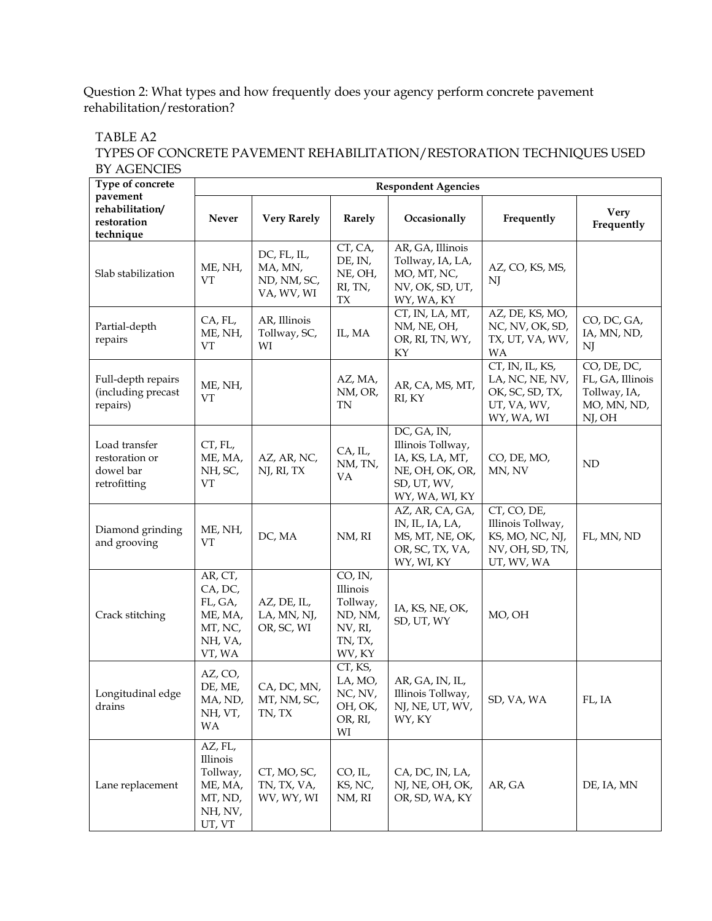#### Question 2: What types and how frequently does your agency perform concrete pavement rehabilitation/restoration?

TABLE A2

#### TYPES OF CONCRETE PAVEMENT REHABILITATION/RESTORATION TECHNIQUES USED BY AGENCIES

| Type of concrete<br>pavement                                 | <b>Respondent Agencies</b>                                                 |                                                     |                                                                            |                                                                                                         |                                                                                      |                                                                          |
|--------------------------------------------------------------|----------------------------------------------------------------------------|-----------------------------------------------------|----------------------------------------------------------------------------|---------------------------------------------------------------------------------------------------------|--------------------------------------------------------------------------------------|--------------------------------------------------------------------------|
| rehabilitation/<br>restoration<br>technique                  | Never                                                                      | <b>Very Rarely</b>                                  | Rarely                                                                     | Occasionally                                                                                            | Frequently                                                                           | <b>Very</b><br>Frequently                                                |
| Slab stabilization                                           | ME, NH,<br>VT                                                              | DC, FL, IL,<br>MA, MN,<br>ND, NM, SC,<br>VA, WV, WI | CT, CA,<br>DE, IN,<br>NE, OH,<br>RI, TN,<br>${\rm T} {\rm X}$              | AR, GA, Illinois<br>Tollway, IA, LA,<br>MO, MT, NC,<br>NV, OK, SD, UT,<br>WY, WA, KY                    | AZ, CO, KS, MS,<br>NJ                                                                |                                                                          |
| Partial-depth<br>repairs                                     | CA, FL,<br>ME, NH,<br>VT                                                   | AR, Illinois<br>Tollway, SC,<br>WI                  | IL, MA                                                                     | CT, IN, LA, MT,<br>NM, NE, OH,<br>OR, RI, TN, WY,<br>KY                                                 | AZ, DE, KS, MO,<br>NC, NV, OK, SD,<br>TX, UT, VA, WV,<br><b>WA</b>                   | CO, DC, GA,<br>IA, MN, ND,<br>NJ                                         |
| Full-depth repairs<br>(including precast<br>repairs)         | ME, NH,<br>VT                                                              |                                                     | AZ, MA,<br>NM, OR,<br>TN                                                   | AR, CA, MS, MT,<br>RI, KY                                                                               | CT, IN, IL, KS,<br>LA, NC, NE, NV,<br>OK, SC, SD, TX,<br>UT, VA, WV,<br>WY, WA, WI   | CO, DE, DC,<br>FL, GA, Illinois<br>Tollway, IA,<br>MO, MN, ND,<br>NJ, OH |
| Load transfer<br>restoration or<br>dowel bar<br>retrofitting | CT, FL,<br>ME, MA,<br>NH, SC,<br>VT                                        | AZ, AR, NC,<br>NJ, RI, TX                           | CA, IL,<br>NM, TN,<br>VA                                                   | DC, GA, IN,<br>Illinois Tollway,<br>IA, KS, LA, MT,<br>NE, OH, OK, OR,<br>SD, UT, WV,<br>WY, WA, WI, KY | CO, DE, MO,<br>MN, NV                                                                | ND                                                                       |
| Diamond grinding<br>and grooving                             | ME, NH,<br>VT                                                              | DC, MA                                              | NM, RI                                                                     | AZ, AR, CA, GA,<br>IN, IL, IA, LA,<br>MS, MT, NE, OK,<br>OR, SC, TX, VA,<br>WY, WI, KY                  | CT, CO, DE,<br>Illinois Tollway,<br>KS, MO, NC, NJ,<br>NV, OH, SD, TN,<br>UT, WV, WA | FL, MN, ND                                                               |
| Crack stitching                                              | AR, CT,<br>CA, DC,<br>FL, GA,<br>ME, MA,<br>MT, NC,<br>NH, VA,<br>VT, WA   | AZ, DE, IL,<br>LA, MN, NJ,<br>OR, SC, WI            | CO, IN,<br>Illinois<br>Tollway,<br>ND, NM,<br>NV, RI,<br>TN, TX,<br>WV, KY | IA, KS, NE, OK,<br>SD, UT, WY                                                                           | MO, OH                                                                               |                                                                          |
| Longitudinal edge<br>drains                                  | AZ, CO,<br>DE, ME,<br>MA, ND,<br>NH, VT,<br>WA                             | CA, DC, MN,<br>MT, NM, SC,<br>TN, TX                | CT, KS,<br>LA, MO,<br>NC, NV,<br>OH, OK,<br>OR, RI,<br>WI                  | AR, GA, IN, IL,<br>Illinois Tollway,<br>NJ, NE, UT, WV,<br>WY, KY                                       | SD, VA, WA                                                                           | FL, IA                                                                   |
| Lane replacement                                             | AZ, FL,<br>Illinois<br>Tollway,<br>ME, MA,<br>MT, ND,<br>NH, NV,<br>UT, VT | CT, MO, SC,<br>TN, TX, VA,<br>WV, WY, WI            | CO, IL,<br>KS, NC,<br>NM, RI                                               | CA, DC, IN, LA,<br>NJ, NE, OH, OK,<br>OR, SD, WA, KY                                                    | AR, GA                                                                               | DE, IA, MN                                                               |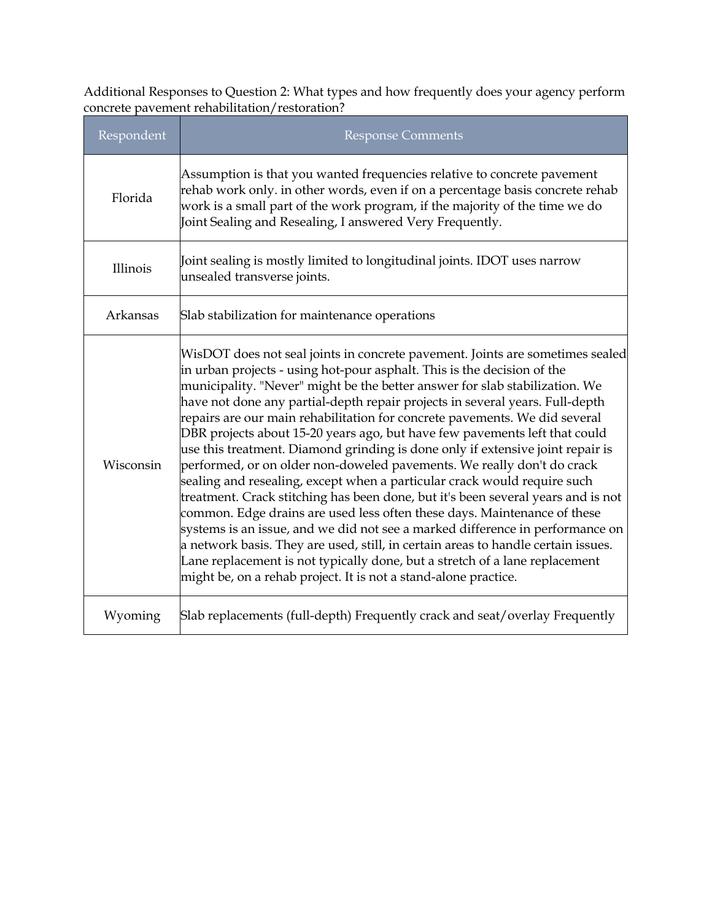Additional Responses to Question 2: What types and how frequently does your agency perform concrete pavement rehabilitation/restoration?

| Respondent | <b>Response Comments</b>                                                                                                                                                                                                                                                                                                                                                                                                                                                                                                                                                                                                                                                                                                                                                                                                                                                                                                                                                                                                                                                                                                                                                                                                |
|------------|-------------------------------------------------------------------------------------------------------------------------------------------------------------------------------------------------------------------------------------------------------------------------------------------------------------------------------------------------------------------------------------------------------------------------------------------------------------------------------------------------------------------------------------------------------------------------------------------------------------------------------------------------------------------------------------------------------------------------------------------------------------------------------------------------------------------------------------------------------------------------------------------------------------------------------------------------------------------------------------------------------------------------------------------------------------------------------------------------------------------------------------------------------------------------------------------------------------------------|
| Florida    | Assumption is that you wanted frequencies relative to concrete pavement<br>rehab work only. in other words, even if on a percentage basis concrete rehab<br>work is a small part of the work program, if the majority of the time we do<br>Joint Sealing and Resealing, I answered Very Frequently.                                                                                                                                                                                                                                                                                                                                                                                                                                                                                                                                                                                                                                                                                                                                                                                                                                                                                                                     |
| Illinois   | Joint sealing is mostly limited to longitudinal joints. IDOT uses narrow<br>unsealed transverse joints.                                                                                                                                                                                                                                                                                                                                                                                                                                                                                                                                                                                                                                                                                                                                                                                                                                                                                                                                                                                                                                                                                                                 |
| Arkansas   | Slab stabilization for maintenance operations                                                                                                                                                                                                                                                                                                                                                                                                                                                                                                                                                                                                                                                                                                                                                                                                                                                                                                                                                                                                                                                                                                                                                                           |
| Wisconsin  | WisDOT does not seal joints in concrete pavement. Joints are sometimes sealed<br>in urban projects - using hot-pour asphalt. This is the decision of the<br>municipality. "Never" might be the better answer for slab stabilization. We<br>have not done any partial-depth repair projects in several years. Full-depth<br>$ $ repairs are our main rehabilitation for concrete pavements. We did several<br>DBR projects about 15-20 years ago, but have few pavements left that could<br>use this treatment. Diamond grinding is done only if extensive joint repair is<br>performed, or on older non-doweled pavements. We really don't do crack<br>sealing and resealing, except when a particular crack would require such<br>treatment. Crack stitching has been done, but it's been several years and is not<br>common. Edge drains are used less often these days. Maintenance of these<br>systems is an issue, and we did not see a marked difference in performance on<br>a network basis. They are used, still, in certain areas to handle certain issues.<br>Lane replacement is not typically done, but a stretch of a lane replacement<br>might be, on a rehab project. It is not a stand-alone practice. |
| Wyoming    | Slab replacements (full-depth) Frequently crack and seat/overlay Frequently                                                                                                                                                                                                                                                                                                                                                                                                                                                                                                                                                                                                                                                                                                                                                                                                                                                                                                                                                                                                                                                                                                                                             |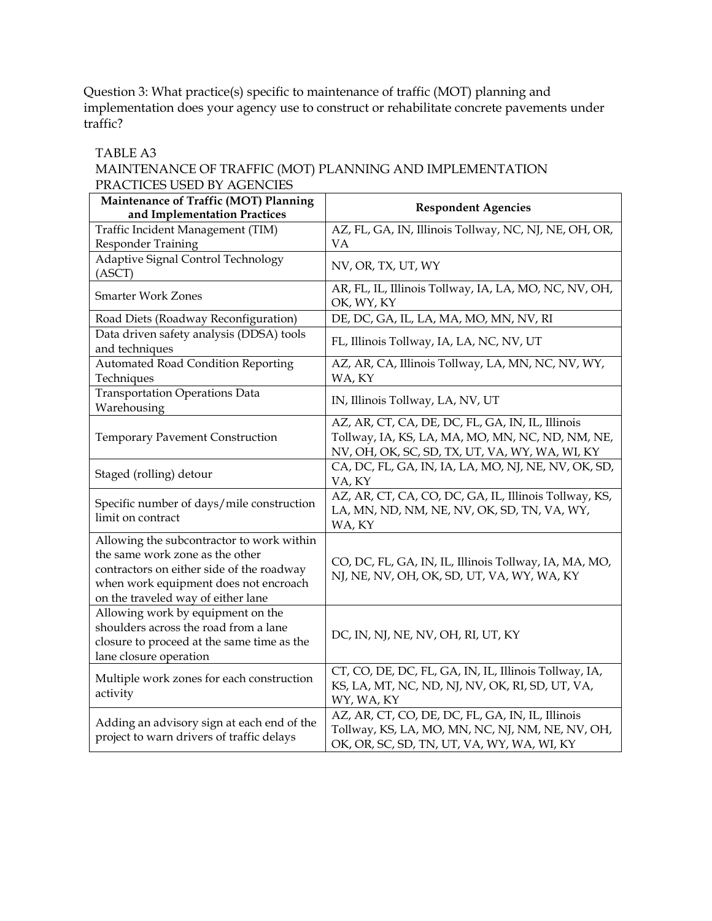Question 3: What practice(s) specific to maintenance of traffic (MOT) planning and implementation does your agency use to construct or rehabilitate concrete pavements under traffic?

#### TABLE A3 MAINTENANCE OF TRAFFIC (MOT) PLANNING AND IMPLEMENTATION PRACTICES USED BY AGENCIES

| Maintenance of Traffic (MOT) Planning<br>and Implementation Practices                                                                                                                                    | <b>Respondent Agencies</b>                                                                                                                             |
|----------------------------------------------------------------------------------------------------------------------------------------------------------------------------------------------------------|--------------------------------------------------------------------------------------------------------------------------------------------------------|
| Traffic Incident Management (TIM)<br>Responder Training                                                                                                                                                  | AZ, FL, GA, IN, Illinois Tollway, NC, NJ, NE, OH, OR,<br>VA                                                                                            |
| Adaptive Signal Control Technology<br>(ASCII)                                                                                                                                                            | NV, OR, TX, UT, WY                                                                                                                                     |
| <b>Smarter Work Zones</b>                                                                                                                                                                                | AR, FL, IL, Illinois Tollway, IA, LA, MO, NC, NV, OH,<br>OK, WY, KY                                                                                    |
| Road Diets (Roadway Reconfiguration)                                                                                                                                                                     | DE, DC, GA, IL, LA, MA, MO, MN, NV, RI                                                                                                                 |
| Data driven safety analysis (DDSA) tools<br>and techniques                                                                                                                                               | FL, Illinois Tollway, IA, LA, NC, NV, UT                                                                                                               |
| <b>Automated Road Condition Reporting</b><br>Techniques                                                                                                                                                  | AZ, AR, CA, Illinois Tollway, LA, MN, NC, NV, WY,<br>WA, KY                                                                                            |
| <b>Transportation Operations Data</b><br>Warehousing                                                                                                                                                     | IN, Illinois Tollway, LA, NV, UT                                                                                                                       |
| <b>Temporary Pavement Construction</b>                                                                                                                                                                   | AZ, AR, CT, CA, DE, DC, FL, GA, IN, IL, Illinois<br>Tollway, IA, KS, LA, MA, MO, MN, NC, ND, NM, NE,<br>NV, OH, OK, SC, SD, TX, UT, VA, WY, WA, WI, KY |
| Staged (rolling) detour                                                                                                                                                                                  | CA, DC, FL, GA, IN, IA, LA, MO, NJ, NE, NV, OK, SD,<br>VA, KY                                                                                          |
| Specific number of days/mile construction<br>limit on contract                                                                                                                                           | AZ, AR, CT, CA, CO, DC, GA, IL, Illinois Tollway, KS,<br>LA, MN, ND, NM, NE, NV, OK, SD, TN, VA, WY,<br>WA, KY                                         |
| Allowing the subcontractor to work within<br>the same work zone as the other<br>contractors on either side of the roadway<br>when work equipment does not encroach<br>on the traveled way of either lane | CO, DC, FL, GA, IN, IL, Illinois Tollway, IA, MA, MO,<br>NJ, NE, NV, OH, OK, SD, UT, VA, WY, WA, KY                                                    |
| Allowing work by equipment on the<br>shoulders across the road from a lane<br>closure to proceed at the same time as the<br>lane closure operation                                                       | DC, IN, NJ, NE, NV, OH, RI, UT, KY                                                                                                                     |
| Multiple work zones for each construction<br>activity                                                                                                                                                    | CT, CO, DE, DC, FL, GA, IN, IL, Illinois Tollway, IA,<br>KS, LA, MT, NC, ND, NJ, NV, OK, RI, SD, UT, VA,<br>WY, WA, KY                                 |
| Adding an advisory sign at each end of the<br>project to warn drivers of traffic delays                                                                                                                  | AZ, AR, CT, CO, DE, DC, FL, GA, IN, IL, Illinois<br>Tollway, KS, LA, MO, MN, NC, NJ, NM, NE, NV, OH,<br>OK, OR, SC, SD, TN, UT, VA, WY, WA, WI, KY     |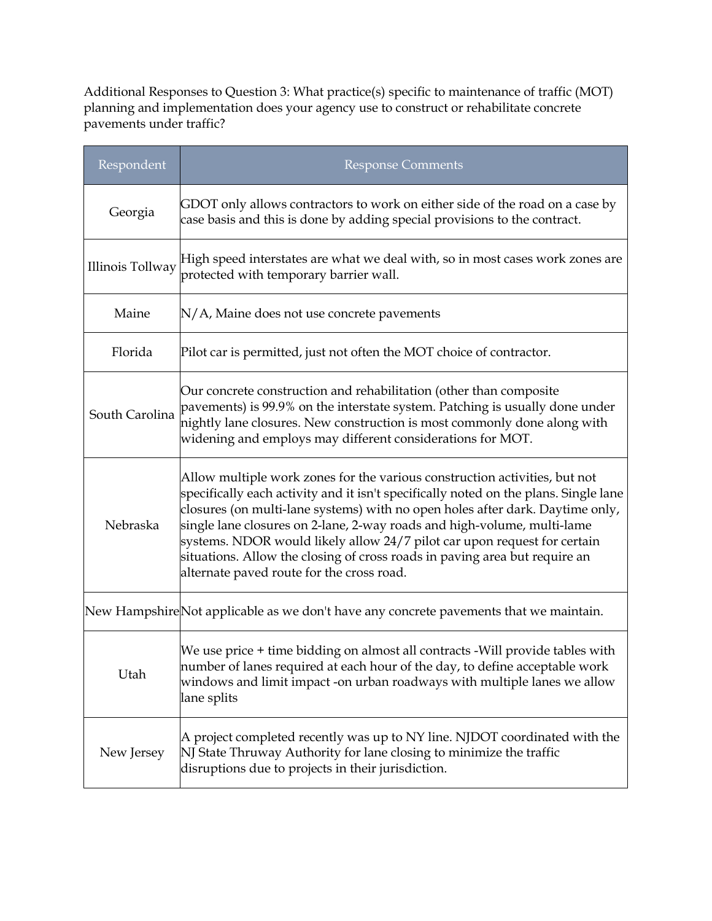Additional Responses to Question 3: What practice(s) specific to maintenance of traffic (MOT) planning and implementation does your agency use to construct or rehabilitate concrete pavements under traffic?

| Respondent       | <b>Response Comments</b>                                                                                                                                                                                                                                                                                                                                                                                                                                                                                                              |
|------------------|---------------------------------------------------------------------------------------------------------------------------------------------------------------------------------------------------------------------------------------------------------------------------------------------------------------------------------------------------------------------------------------------------------------------------------------------------------------------------------------------------------------------------------------|
| Georgia          | GDOT only allows contractors to work on either side of the road on a case by<br>case basis and this is done by adding special provisions to the contract.                                                                                                                                                                                                                                                                                                                                                                             |
| Illinois Tollway | $\mathbb H$ igh speed interstates are what we deal with, so in most cases work zones are<br>protected with temporary barrier wall.                                                                                                                                                                                                                                                                                                                                                                                                    |
| Maine            | $N/A$ , Maine does not use concrete pavements                                                                                                                                                                                                                                                                                                                                                                                                                                                                                         |
| Florida          | Pilot car is permitted, just not often the MOT choice of contractor.                                                                                                                                                                                                                                                                                                                                                                                                                                                                  |
| South Carolina   | Our concrete construction and rehabilitation (other than composite<br>pavements) is 99.9% on the interstate system. Patching is usually done under<br>nightly lane closures. New construction is most commonly done along with<br>widening and employs may different considerations for MOT.                                                                                                                                                                                                                                          |
| Nebraska         | Allow multiple work zones for the various construction activities, but not<br>specifically each activity and it isn't specifically noted on the plans. Single lane<br>closures (on multi-lane systems) with no open holes after dark. Daytime only,<br>single lane closures on 2-lane, 2-way roads and high-volume, multi-lame<br>systems. NDOR would likely allow 24/7 pilot car upon request for certain<br>situations. Allow the closing of cross roads in paving area but require an<br>alternate paved route for the cross road. |
|                  | New HampshireNot applicable as we don't have any concrete pavements that we maintain.                                                                                                                                                                                                                                                                                                                                                                                                                                                 |
| Utah             | We use price + time bidding on almost all contracts - Will provide tables with<br>number of lanes required at each hour of the day, to define acceptable work<br>windows and limit impact -on urban roadways with multiple lanes we allow<br>lane splits                                                                                                                                                                                                                                                                              |
| New Jersey       | A project completed recently was up to NY line. NJDOT coordinated with the<br>NJ State Thruway Authority for lane closing to minimize the traffic<br>disruptions due to projects in their jurisdiction.                                                                                                                                                                                                                                                                                                                               |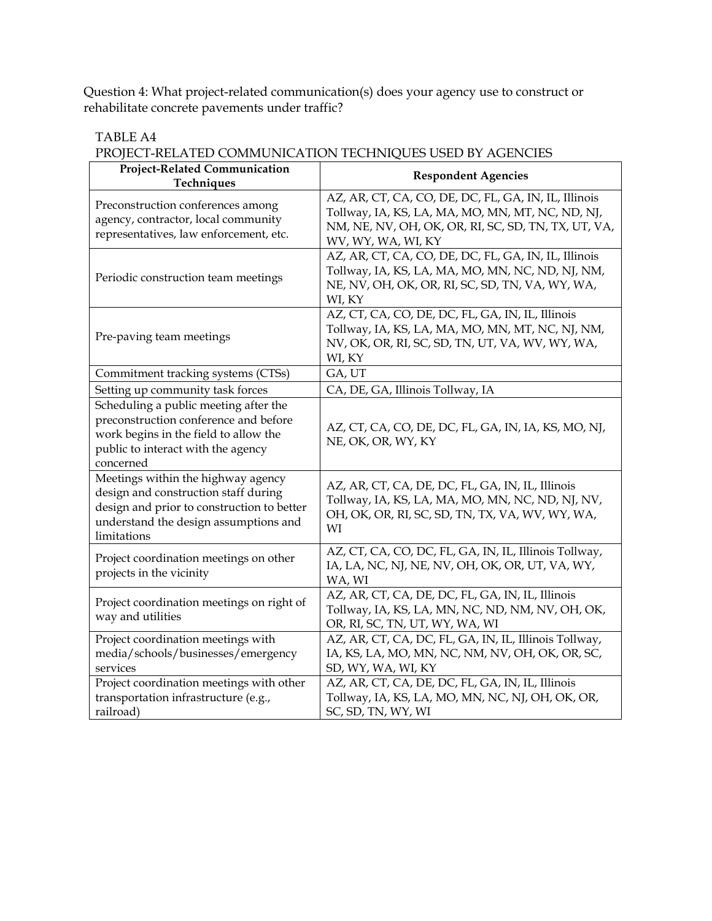Question 4: What project-related communication(s) does your agency use to construct or rehabilitate concrete pavements under traffic?

#### TABLE A4

## PROJECT-RELATED COMMUNICATION TECHNIQUES USED BY AGENCIES

| Project-Related Communication<br>Techniques                                                                                                                                      | <b>Respondent Agencies</b>                                                                                                                                                            |
|----------------------------------------------------------------------------------------------------------------------------------------------------------------------------------|---------------------------------------------------------------------------------------------------------------------------------------------------------------------------------------|
| Preconstruction conferences among<br>agency, contractor, local community<br>representatives, law enforcement, etc.                                                               | AZ, AR, CT, CA, CO, DE, DC, FL, GA, IN, IL, Illinois<br>Tollway, IA, KS, LA, MA, MO, MN, MT, NC, ND, NJ,<br>NM, NE, NV, OH, OK, OR, RI, SC, SD, TN, TX, UT, VA,<br>WV, WY, WA, WI, KY |
| Periodic construction team meetings                                                                                                                                              | AZ, AR, CT, CA, CO, DE, DC, FL, GA, IN, IL, Illinois<br>Tollway, IA, KS, LA, MA, MO, MN, NC, ND, NJ, NM,<br>NE, NV, OH, OK, OR, RI, SC, SD, TN, VA, WY, WA,<br>WI, KY                 |
| Pre-paving team meetings                                                                                                                                                         | AZ, CT, CA, CO, DE, DC, FL, GA, IN, IL, Illinois<br>Tollway, IA, KS, LA, MA, MO, MN, MT, NC, NJ, NM,<br>NV, OK, OR, RI, SC, SD, TN, UT, VA, WV, WY, WA,<br>WI, KY                     |
| Commitment tracking systems (CTSs)                                                                                                                                               | GA, UT                                                                                                                                                                                |
| Setting up community task forces                                                                                                                                                 | CA, DE, GA, Illinois Tollway, IA                                                                                                                                                      |
| Scheduling a public meeting after the<br>preconstruction conference and before<br>work begins in the field to allow the<br>public to interact with the agency<br>concerned       | AZ, CT, CA, CO, DE, DC, FL, GA, IN, IA, KS, MO, NJ,<br>NE, OK, OR, WY, KY                                                                                                             |
| Meetings within the highway agency<br>design and construction staff during<br>design and prior to construction to better<br>understand the design assumptions and<br>limitations | AZ, AR, CT, CA, DE, DC, FL, GA, IN, IL, Illinois<br>Tollway, IA, KS, LA, MA, MO, MN, NC, ND, NJ, NV,<br>OH, OK, OR, RI, SC, SD, TN, TX, VA, WV, WY, WA,<br>WI                         |
| Project coordination meetings on other<br>projects in the vicinity                                                                                                               | AZ, CT, CA, CO, DC, FL, GA, IN, IL, Illinois Tollway,<br>IA, LA, NC, NJ, NE, NV, OH, OK, OR, UT, VA, WY,<br>WA, WI                                                                    |
| Project coordination meetings on right of<br>way and utilities                                                                                                                   | AZ, AR, CT, CA, DE, DC, FL, GA, IN, IL, Illinois<br>Tollway, IA, KS, LA, MN, NC, ND, NM, NV, OH, OK,<br>OR, RI, SC, TN, UT, WY, WA, WI                                                |
| Project coordination meetings with<br>media/schools/businesses/emergency<br>services                                                                                             | AZ, AR, CT, CA, DC, FL, GA, IN, IL, Illinois Tollway,<br>IA, KS, LA, MO, MN, NC, NM, NV, OH, OK, OR, SC,<br>SD, WY, WA, WI, KY                                                        |
| Project coordination meetings with other<br>transportation infrastructure (e.g.,<br>railroad)                                                                                    | AZ, AR, CT, CA, DE, DC, FL, GA, IN, IL, Illinois<br>Tollway, IA, KS, LA, MO, MN, NC, NJ, OH, OK, OR,<br>SC, SD, TN, WY, WI                                                            |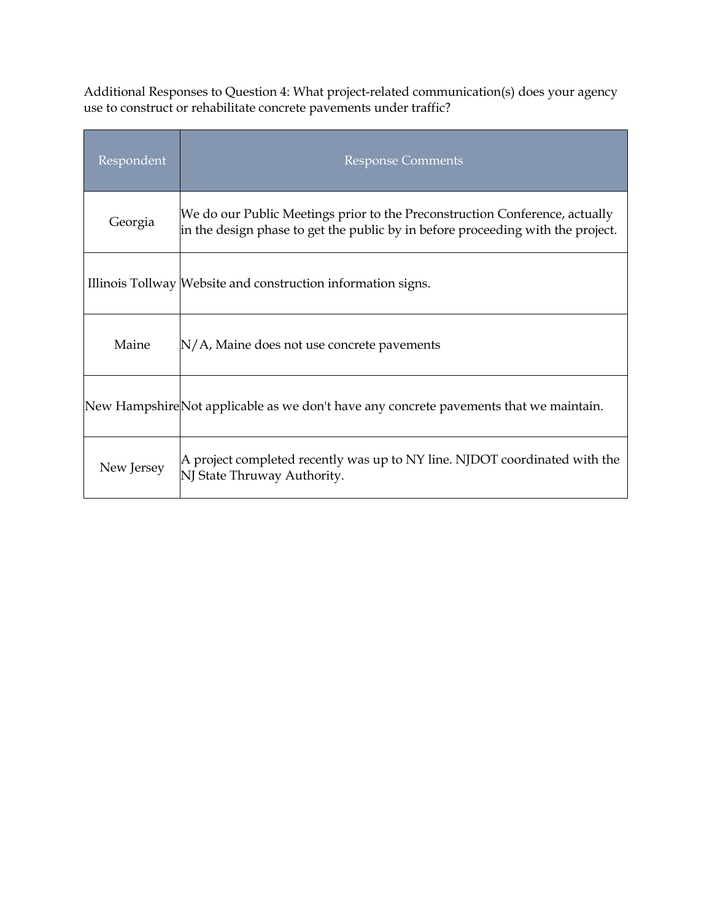Additional Responses to Question 4: What project-related communication(s) does your agency use to construct or rehabilitate concrete pavements under traffic?

| Respondent | <b>Response Comments</b>                                                                                                                                       |
|------------|----------------------------------------------------------------------------------------------------------------------------------------------------------------|
| Georgia    | We do our Public Meetings prior to the Preconstruction Conference, actually<br>in the design phase to get the public by in before proceeding with the project. |
|            | Illinois Tollway Website and construction information signs.                                                                                                   |
| Maine      | N/A, Maine does not use concrete pavements                                                                                                                     |
|            | New HampshireNot applicable as we don't have any concrete pavements that we maintain.                                                                          |
| New Jersey | A project completed recently was up to NY line. NJDOT coordinated with the<br>NJ State Thruway Authority.                                                      |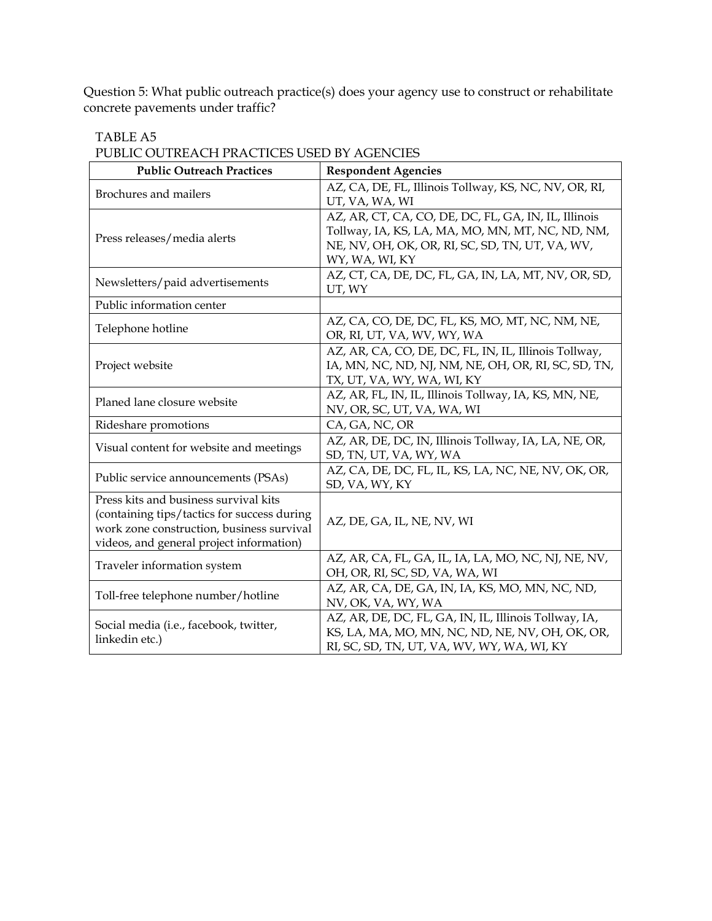Question 5: What public outreach practice(s) does your agency use to construct or rehabilitate concrete pavements under traffic?

| ABLE. |  |
|-------|--|
|-------|--|

PUBLIC OUTREACH PRACTICES USED BY AGENCIES

| <b>Public Outreach Practices</b>                                                                                                                                              | <b>Respondent Agencies</b>                                                                                                                                                    |
|-------------------------------------------------------------------------------------------------------------------------------------------------------------------------------|-------------------------------------------------------------------------------------------------------------------------------------------------------------------------------|
| Brochures and mailers                                                                                                                                                         | AZ, CA, DE, FL, Illinois Tollway, KS, NC, NV, OR, RI,<br>UT, VA, WA, WI                                                                                                       |
| Press releases/media alerts                                                                                                                                                   | AZ, AR, CT, CA, CO, DE, DC, FL, GA, IN, IL, Illinois<br>Tollway, IA, KS, LA, MA, MO, MN, MT, NC, ND, NM,<br>NE, NV, OH, OK, OR, RI, SC, SD, TN, UT, VA, WV,<br>WY, WA, WI, KY |
| Newsletters/paid advertisements                                                                                                                                               | AZ, CT, CA, DE, DC, FL, GA, IN, LA, MT, NV, OR, SD,<br>UT, WY                                                                                                                 |
| Public information center                                                                                                                                                     |                                                                                                                                                                               |
| Telephone hotline                                                                                                                                                             | AZ, CA, CO, DE, DC, FL, KS, MO, MT, NC, NM, NE,<br>OR, RI, UT, VA, WV, WY, WA                                                                                                 |
| Project website                                                                                                                                                               | AZ, AR, CA, CO, DE, DC, FL, IN, IL, Illinois Tollway,<br>IA, MN, NC, ND, NJ, NM, NE, OH, OR, RI, SC, SD, TN,<br>TX, UT, VA, WY, WA, WI, KY                                    |
| Planed lane closure website                                                                                                                                                   | AZ, AR, FL, IN, IL, Illinois Tollway, IA, KS, MN, NE,<br>NV, OR, SC, UT, VA, WA, WI                                                                                           |
| Rideshare promotions                                                                                                                                                          | CA, GA, NC, OR                                                                                                                                                                |
| Visual content for website and meetings                                                                                                                                       | AZ, AR, DE, DC, IN, Illinois Tollway, IA, LA, NE, OR,<br>SD, TN, UT, VA, WY, WA                                                                                               |
| Public service announcements (PSAs)                                                                                                                                           | AZ, CA, DE, DC, FL, IL, KS, LA, NC, NE, NV, OK, OR,<br>SD, VA, WY, KY                                                                                                         |
| Press kits and business survival kits<br>(containing tips/tactics for success during<br>work zone construction, business survival<br>videos, and general project information) | AZ, DE, GA, IL, NE, NV, WI                                                                                                                                                    |
| Traveler information system                                                                                                                                                   | AZ, AR, CA, FL, GA, IL, IA, LA, MO, NC, NJ, NE, NV,<br>OH, OR, RI, SC, SD, VA, WA, WI                                                                                         |
| Toll-free telephone number/hotline                                                                                                                                            | AZ, AR, CA, DE, GA, IN, IA, KS, MO, MN, NC, ND,<br>NV, OK, VA, WY, WA                                                                                                         |
| Social media (i.e., facebook, twitter,<br>linkedin etc.)                                                                                                                      | AZ, AR, DE, DC, FL, GA, IN, IL, Illinois Tollway, IA,<br>KS, LA, MA, MO, MN, NC, ND, NE, NV, OH, OK, OR,<br>RI, SC, SD, TN, UT, VA, WV, WY, WA, WI, KY                        |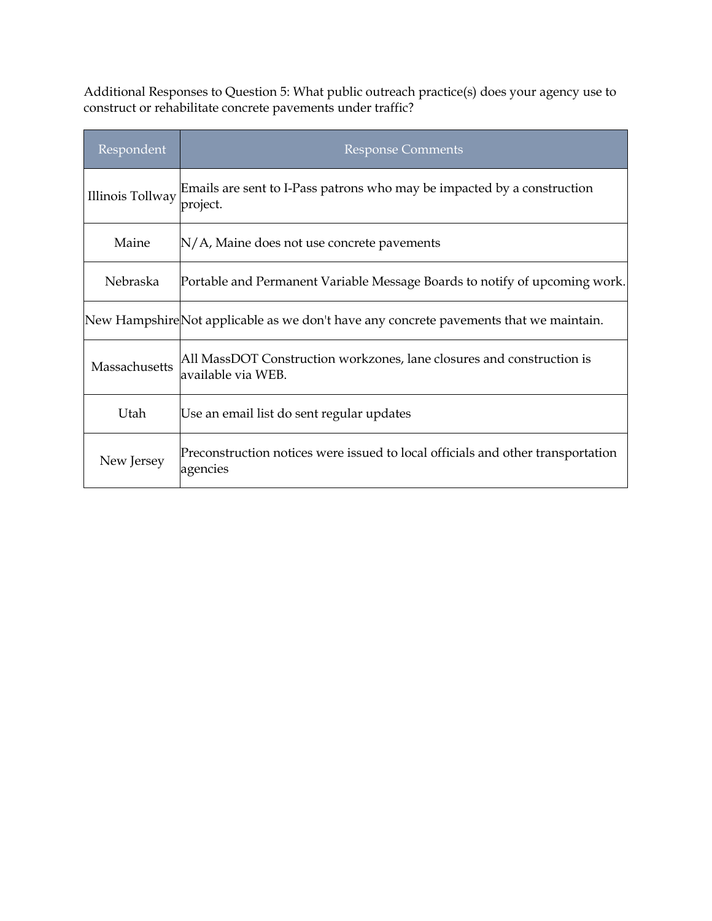Additional Responses to Question 5: What public outreach practice(s) does your agency use to construct or rehabilitate concrete pavements under traffic?

| Respondent       | <b>Response Comments</b>                                                                    |
|------------------|---------------------------------------------------------------------------------------------|
| Illinois Tollway | Emails are sent to I-Pass patrons who may be impacted by a construction<br>project.         |
| Maine            | $N/A$ , Maine does not use concrete pavements                                               |
| Nebraska         | Portable and Permanent Variable Message Boards to notify of upcoming work.                  |
|                  | New Hampshire Not applicable as we don't have any concrete pavements that we maintain.      |
| Massachusetts    | All MassDOT Construction workzones, lane closures and construction is<br>available via WEB. |
| Utah             | Use an email list do sent regular updates                                                   |
| New Jersey       | Preconstruction notices were issued to local officials and other transportation<br>agencies |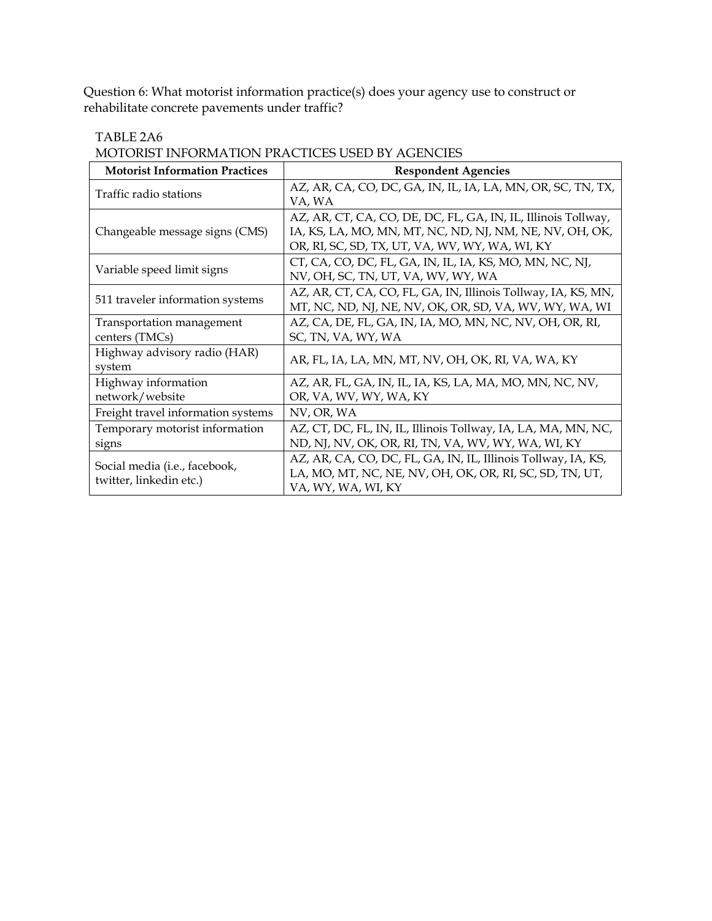Question 6: What motorist information practice(s) does your agency use to construct or rehabilitate concrete pavements under traffic?

#### TABLE 2A6

MOTORIST INFORMATION PRACTICES USED BY AGENCIES

| <b>Motorist Information Practices</b>                    | <b>Respondent Agencies</b>                                                                                                                                                 |
|----------------------------------------------------------|----------------------------------------------------------------------------------------------------------------------------------------------------------------------------|
| Traffic radio stations                                   | AZ, AR, CA, CO, DC, GA, IN, IL, IA, LA, MN, OR, SC, TN, TX,<br>VA, WA                                                                                                      |
| Changeable message signs (CMS)                           | AZ, AR, CT, CA, CO, DE, DC, FL, GA, IN, IL, Illinois Tollway,<br>IA, KS, LA, MO, MN, MT, NC, ND, NJ, NM, NE, NV, OH, OK,<br>OR, RI, SC, SD, TX, UT, VA, WV, WY, WA, WI, KY |
| Variable speed limit signs                               | CT, CA, CO, DC, FL, GA, IN, IL, IA, KS, MO, MN, NC, NJ,<br>NV, OH, SC, TN, UT, VA, WV, WY, WA                                                                              |
| 511 traveler information systems                         | AZ, AR, CT, CA, CO, FL, GA, IN, Illinois Tollway, IA, KS, MN,<br>MT, NC, ND, NJ, NE, NV, OK, OR, SD, VA, WV, WY, WA, WI                                                    |
| Transportation management<br>centers (TMCs)              | AZ, CA, DE, FL, GA, IN, IA, MO, MN, NC, NV, OH, OR, RI,<br>SC, TN, VA, WY, WA                                                                                              |
| Highway advisory radio (HAR)<br>system                   | AR, FL, IA, LA, MN, MT, NV, OH, OK, RI, VA, WA, KY                                                                                                                         |
| Highway information<br>network/website                   | AZ, AR, FL, GA, IN, IL, IA, KS, LA, MA, MO, MN, NC, NV,<br>OR, VA, WV, WY, WA, KY                                                                                          |
| Freight travel information systems                       | NV, OR, WA                                                                                                                                                                 |
| Temporary motorist information<br>signs                  | AZ, CT, DC, FL, IN, IL, Illinois Tollway, IA, LA, MA, MN, NC,<br>ND, NJ, NV, OK, OR, RI, TN, VA, WV, WY, WA, WI, KY                                                        |
| Social media (i.e., facebook,<br>twitter, linkedin etc.) | AZ, AR, CA, CO, DC, FL, GA, IN, IL, Illinois Tollway, IA, KS,<br>LA, MO, MT, NC, NE, NV, OH, OK, OR, RI, SC, SD, TN, UT,<br>VA, WY, WA, WI, KY                             |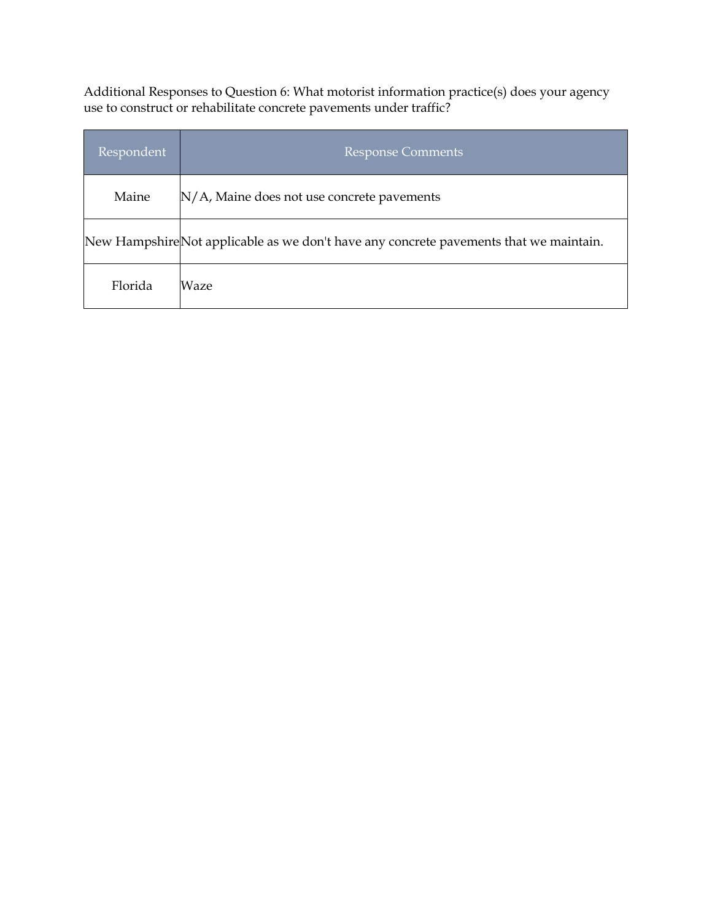Additional Responses to Question 6: What motorist information practice(s) does your agency use to construct or rehabilitate concrete pavements under traffic?

| Respondent | <b>Response Comments</b>                                                               |
|------------|----------------------------------------------------------------------------------------|
| Maine      | N/A, Maine does not use concrete pavements                                             |
|            | New Hampshire Not applicable as we don't have any concrete pavements that we maintain. |
| Florida    | Waze                                                                                   |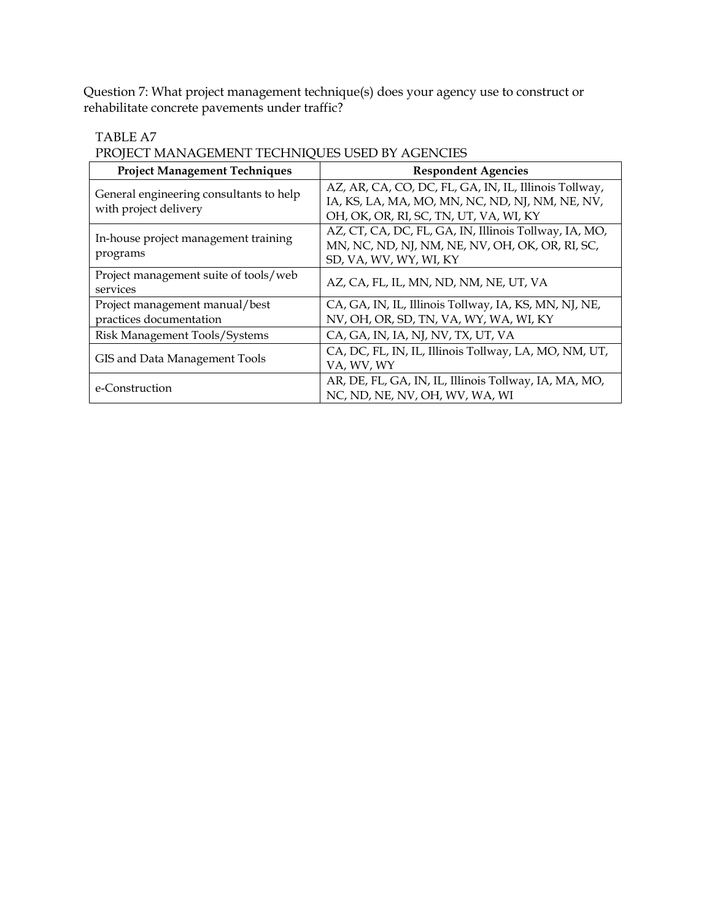Question 7: What project management technique(s) does your agency use to construct or rehabilitate concrete pavements under traffic?

#### TABLE A7

PROJECT MANAGEMENT TECHNIQUES USED BY AGENCIES

| <b>Project Management Techniques</b>                             | <b>Respondent Agencies</b>                                                                                                                         |
|------------------------------------------------------------------|----------------------------------------------------------------------------------------------------------------------------------------------------|
| General engineering consultants to help<br>with project delivery | AZ, AR, CA, CO, DC, FL, GA, IN, IL, Illinois Tollway,<br>IA, KS, LA, MA, MO, MN, NC, ND, NJ, NM, NE, NV,<br>OH, OK, OR, RI, SC, TN, UT, VA, WI, KY |
| In-house project management training<br>programs                 | AZ, CT, CA, DC, FL, GA, IN, Illinois Tollway, IA, MO,<br>MN, NC, ND, NJ, NM, NE, NV, OH, OK, OR, RI, SC,<br>SD, VA, WV, WY, WI, KY                 |
| Project management suite of tools/web<br>services                | AZ, CA, FL, IL, MN, ND, NM, NE, UT, VA                                                                                                             |
| Project management manual/best<br>practices documentation        | CA, GA, IN, IL, Illinois Tollway, IA, KS, MN, NJ, NE,<br>NV, OH, OR, SD, TN, VA, WY, WA, WI, KY                                                    |
| Risk Management Tools/Systems                                    | CA, GA, IN, IA, NJ, NV, TX, UT, VA                                                                                                                 |
| GIS and Data Management Tools                                    | CA, DC, FL, IN, IL, Illinois Tollway, LA, MO, NM, UT,<br>VA, WV, WY                                                                                |
| e-Construction                                                   | AR, DE, FL, GA, IN, IL, Illinois Tollway, IA, MA, MO,<br>NC, ND, NE, NV, OH, WV, WA, WI                                                            |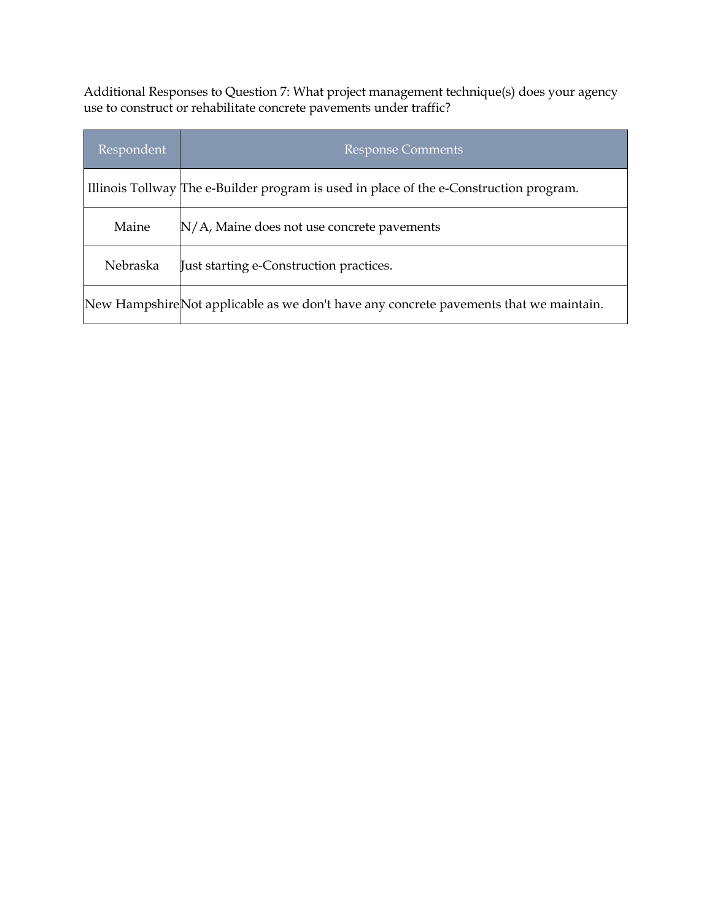Additional Responses to Question 7: What project management technique(s) does your agency use to construct or rehabilitate concrete pavements under traffic?

| Respondent | <b>Response Comments</b>                                                               |
|------------|----------------------------------------------------------------------------------------|
|            | Illinois Tollway The e-Builder program is used in place of the e-Construction program. |
| Maine      | $N/A$ , Maine does not use concrete pavements                                          |
| Nebraska   | Just starting e-Construction practices.                                                |
|            | New Hampshire Not applicable as we don't have any concrete pavements that we maintain. |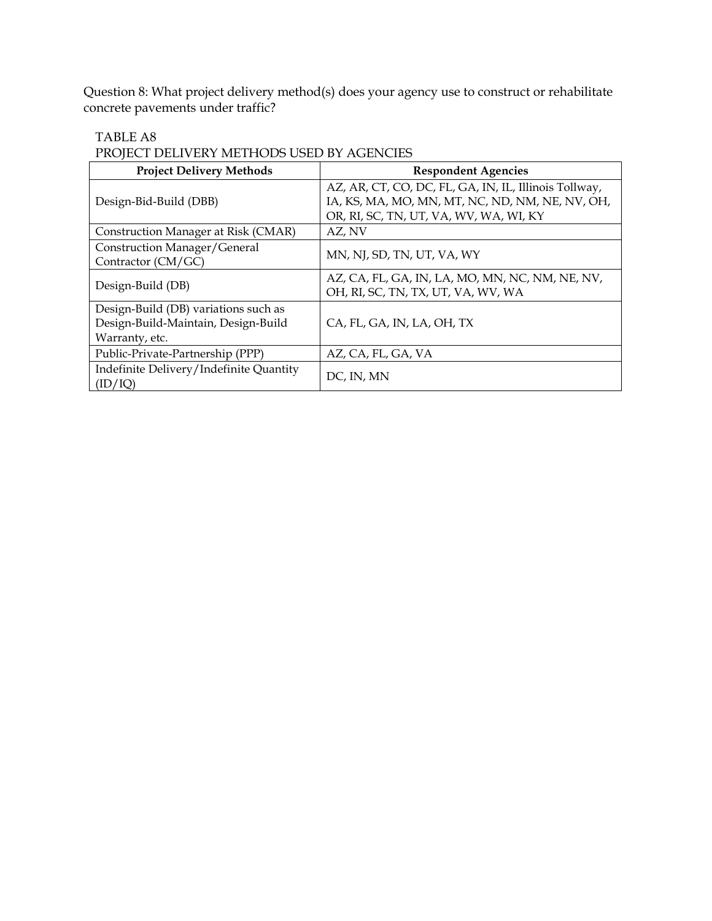Question 8: What project delivery method(s) does your agency use to construct or rehabilitate concrete pavements under traffic?

#### TABLE A8

PROJECT DELIVERY METHODS USED BY AGENCIES

| <b>Project Delivery Methods</b>                                                               | <b>Respondent Agencies</b>                                                                                                                         |
|-----------------------------------------------------------------------------------------------|----------------------------------------------------------------------------------------------------------------------------------------------------|
| Design-Bid-Build (DBB)                                                                        | AZ, AR, CT, CO, DC, FL, GA, IN, IL, Illinois Tollway,<br>IA, KS, MA, MO, MN, MT, NC, ND, NM, NE, NV, OH,<br>OR, RI, SC, TN, UT, VA, WV, WA, WI, KY |
| Construction Manager at Risk (CMAR)                                                           | AZ, NV                                                                                                                                             |
| Construction Manager/General<br>Contractor (CM/GC)                                            | MN, NJ, SD, TN, UT, VA, WY                                                                                                                         |
| Design-Build (DB)                                                                             | AZ, CA, FL, GA, IN, LA, MO, MN, NC, NM, NE, NV,<br>OH, RI, SC, TN, TX, UT, VA, WV, WA                                                              |
| Design-Build (DB) variations such as<br>Design-Build-Maintain, Design-Build<br>Warranty, etc. | CA, FL, GA, IN, LA, OH, TX                                                                                                                         |
| Public-Private-Partnership (PPP)                                                              | AZ, CA, FL, GA, VA                                                                                                                                 |
| Indefinite Delivery/Indefinite Quantity<br>(ID/IQ)                                            | DC, IN, MN                                                                                                                                         |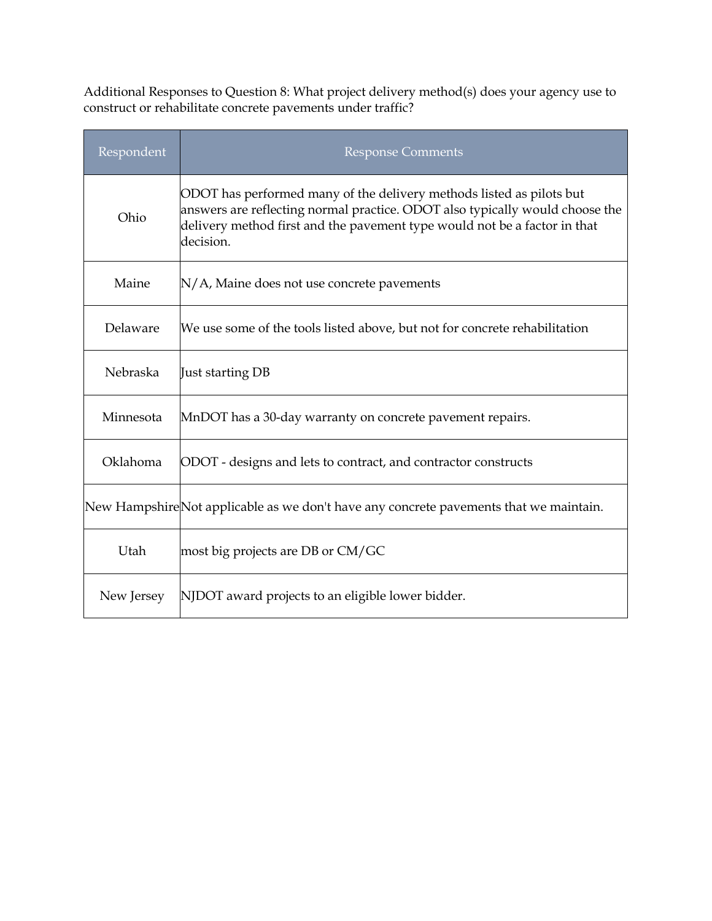Additional Responses to Question 8: What project delivery method(s) does your agency use to construct or rehabilitate concrete pavements under traffic?

| Respondent | <b>Response Comments</b>                                                                                                                                                                                                                       |
|------------|------------------------------------------------------------------------------------------------------------------------------------------------------------------------------------------------------------------------------------------------|
| Ohio       | ODOT has performed many of the delivery methods listed as pilots but<br>answers are reflecting normal practice. ODOT also typically would choose the<br>delivery method first and the pavement type would not be a factor in that<br>decision. |
| Maine      | N/A, Maine does not use concrete pavements                                                                                                                                                                                                     |
| Delaware   | We use some of the tools listed above, but not for concrete rehabilitation                                                                                                                                                                     |
| Nebraska   | Just starting DB                                                                                                                                                                                                                               |
| Minnesota  | MnDOT has a 30-day warranty on concrete pavement repairs.                                                                                                                                                                                      |
| Oklahoma   | ODOT - designs and lets to contract, and contractor constructs                                                                                                                                                                                 |
|            | New Hampshire Not applicable as we don't have any concrete pavements that we maintain.                                                                                                                                                         |
| Utah       | most big projects are DB or CM/GC                                                                                                                                                                                                              |
| New Jersey | NJDOT award projects to an eligible lower bidder.                                                                                                                                                                                              |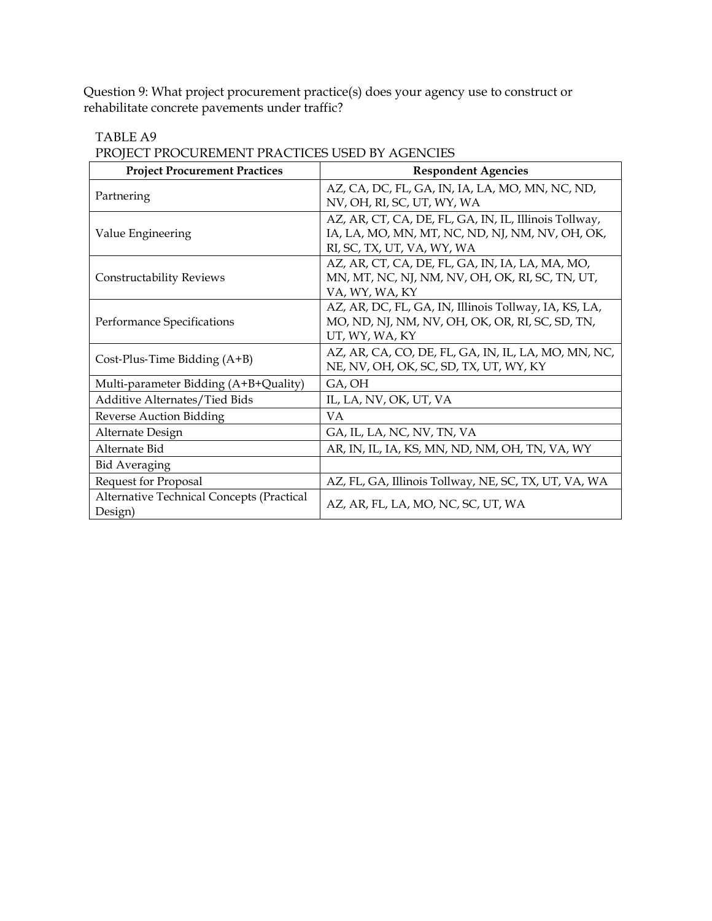Question 9: What project procurement practice(s) does your agency use to construct or rehabilitate concrete pavements under traffic?

| <b>Project Procurement Practices</b>                 | <b>Respondent Agencies</b>                                                                                                             |
|------------------------------------------------------|----------------------------------------------------------------------------------------------------------------------------------------|
| Partnering                                           | AZ, CA, DC, FL, GA, IN, IA, LA, MO, MN, NC, ND,<br>NV, OH, RI, SC, UT, WY, WA                                                          |
| Value Engineering                                    | AZ, AR, CT, CA, DE, FL, GA, IN, IL, Illinois Tollway,<br>IA, LA, MO, MN, MT, NC, ND, NJ, NM, NV, OH, OK,<br>RI, SC, TX, UT, VA, WY, WA |
| <b>Constructability Reviews</b>                      | AZ, AR, CT, CA, DE, FL, GA, IN, IA, LA, MA, MO,<br>MN, MT, NC, NJ, NM, NV, OH, OK, RI, SC, TN, UT,<br>VA, WY, WA, KY                   |
| Performance Specifications                           | AZ, AR, DC, FL, GA, IN, Illinois Tollway, IA, KS, LA,<br>MO, ND, NJ, NM, NV, OH, OK, OR, RI, SC, SD, TN,<br>UT, WY, WA, KY             |
| Cost-Plus-Time Bidding $(A+B)$                       | AZ, AR, CA, CO, DE, FL, GA, IN, IL, LA, MO, MN, NC,<br>NE, NV, OH, OK, SC, SD, TX, UT, WY, KY                                          |
| Multi-parameter Bidding (A+B+Quality)                | GA, OH                                                                                                                                 |
| Additive Alternates/Tied Bids                        | IL, LA, NV, OK, UT, VA                                                                                                                 |
| Reverse Auction Bidding                              | VA.                                                                                                                                    |
| Alternate Design                                     | GA, IL, LA, NC, NV, TN, VA                                                                                                             |
| Alternate Bid                                        | AR, IN, IL, IA, KS, MN, ND, NM, OH, TN, VA, WY                                                                                         |
| <b>Bid Averaging</b>                                 |                                                                                                                                        |
| Request for Proposal                                 | AZ, FL, GA, Illinois Tollway, NE, SC, TX, UT, VA, WA                                                                                   |
| Alternative Technical Concepts (Practical<br>Design) | AZ, AR, FL, LA, MO, NC, SC, UT, WA                                                                                                     |

TABLE A9 PROJECT PROCUREMENT PRACTICES USED BY AGENCIES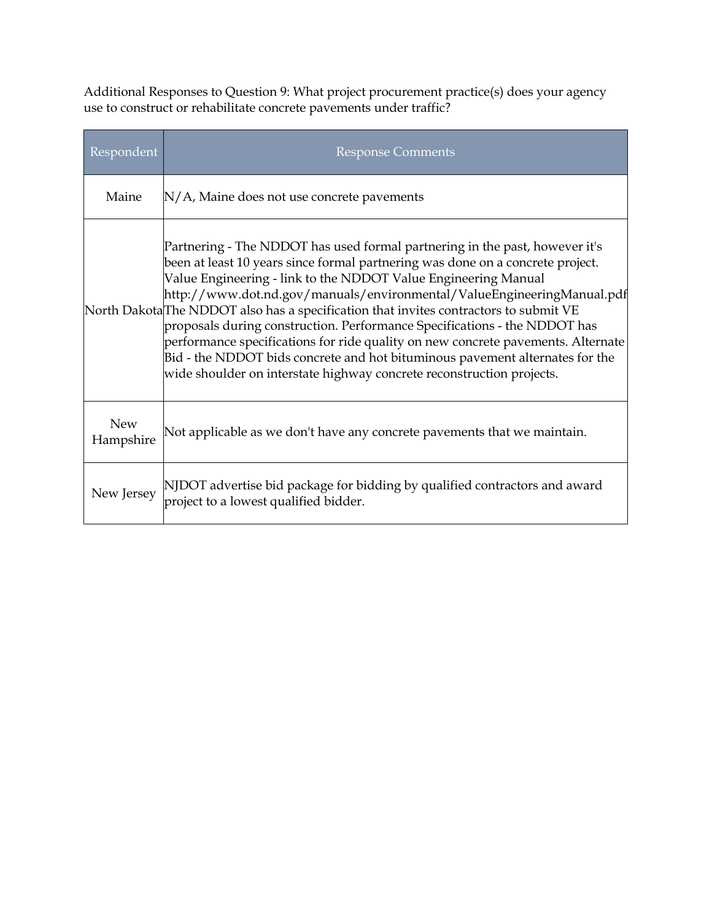Additional Responses to Question 9: What project procurement practice(s) does your agency use to construct or rehabilitate concrete pavements under traffic?

| Respondent              | <b>Response Comments</b>                                                                                                                                                                                                                                                                                                                                                                                                                                                                                                                                                                                                                                                                                                                |
|-------------------------|-----------------------------------------------------------------------------------------------------------------------------------------------------------------------------------------------------------------------------------------------------------------------------------------------------------------------------------------------------------------------------------------------------------------------------------------------------------------------------------------------------------------------------------------------------------------------------------------------------------------------------------------------------------------------------------------------------------------------------------------|
| Maine                   | $N/A$ , Maine does not use concrete pavements                                                                                                                                                                                                                                                                                                                                                                                                                                                                                                                                                                                                                                                                                           |
|                         | Partnering - The NDDOT has used formal partnering in the past, however it's<br>been at least 10 years since formal partnering was done on a concrete project.<br>Value Engineering - link to the NDDOT Value Engineering Manual<br>http://www.dot.nd.gov/manuals/environmental/ValueEngineeringManual.pdf<br>North Dakota <sup>The</sup> NDDOT also has a specification that invites contractors to submit VE<br>proposals during construction. Performance Specifications - the NDDOT has<br>performance specifications for ride quality on new concrete pavements. Alternate<br>Bid - the NDDOT bids concrete and hot bituminous pavement alternates for the<br>wide shoulder on interstate highway concrete reconstruction projects. |
| <b>New</b><br>Hampshire | Not applicable as we don't have any concrete pavements that we maintain.                                                                                                                                                                                                                                                                                                                                                                                                                                                                                                                                                                                                                                                                |
| New Jersey              | NJDOT advertise bid package for bidding by qualified contractors and award<br>project to a lowest qualified bidder.                                                                                                                                                                                                                                                                                                                                                                                                                                                                                                                                                                                                                     |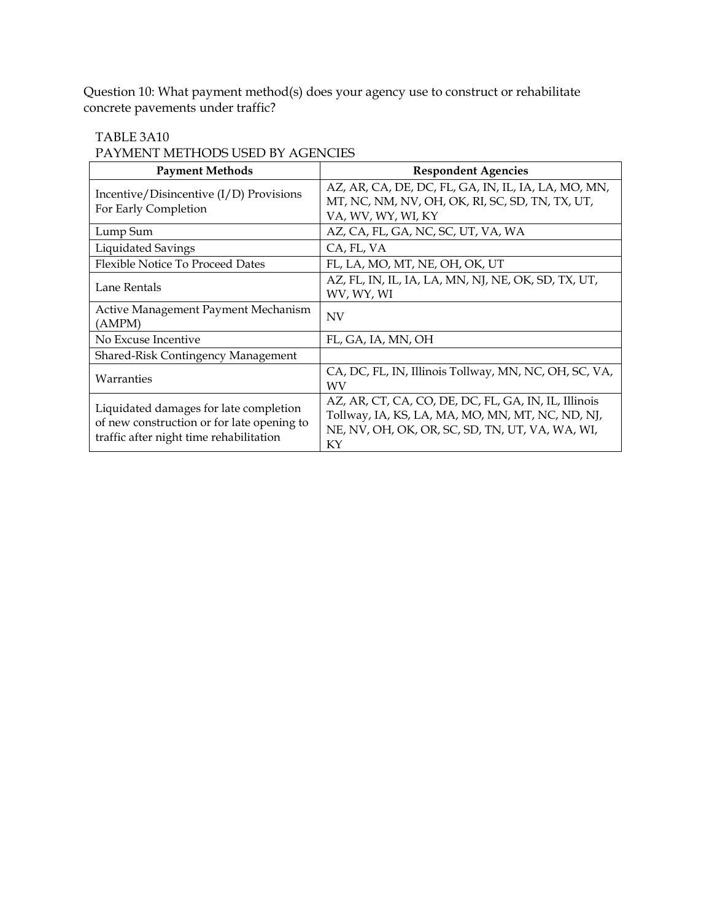Question 10: What payment method(s) does your agency use to construct or rehabilitate concrete pavements under traffic?

### TABLE 3A10

PAYMENT METHODS USED BY AGENCIES

| <b>Payment Methods</b>                                                                                                          | <b>Respondent Agencies</b>                                                                                                                                        |
|---------------------------------------------------------------------------------------------------------------------------------|-------------------------------------------------------------------------------------------------------------------------------------------------------------------|
| Incentive/Disincentive $(I/D)$ Provisions<br>For Early Completion                                                               | AZ, AR, CA, DE, DC, FL, GA, IN, IL, IA, LA, MO, MN,<br>MT, NC, NM, NV, OH, OK, RI, SC, SD, TN, TX, UT,<br>VA, WV, WY, WI, KY                                      |
| Lump Sum                                                                                                                        | AZ, CA, FL, GA, NC, SC, UT, VA, WA                                                                                                                                |
| Liquidated Savings                                                                                                              | CA, FL, VA                                                                                                                                                        |
| <b>Flexible Notice To Proceed Dates</b>                                                                                         | FL, LA, MO, MT, NE, OH, OK, UT                                                                                                                                    |
| Lane Rentals                                                                                                                    | AZ, FL, IN, IL, IA, LA, MN, NJ, NE, OK, SD, TX, UT,<br>WV, WY, WI                                                                                                 |
| Active Management Payment Mechanism<br>(AMPM)                                                                                   | <b>NV</b>                                                                                                                                                         |
| No Excuse Incentive                                                                                                             | FL, GA, IA, MN, OH                                                                                                                                                |
| Shared-Risk Contingency Management                                                                                              |                                                                                                                                                                   |
| Warranties                                                                                                                      | CA, DC, FL, IN, Illinois Tollway, MN, NC, OH, SC, VA,<br>WV                                                                                                       |
| Liquidated damages for late completion<br>of new construction or for late opening to<br>traffic after night time rehabilitation | AZ, AR, CT, CA, CO, DE, DC, FL, GA, IN, IL, Illinois<br>Tollway, IA, KS, LA, MA, MO, MN, MT, NC, ND, NJ,<br>NE, NV, OH, OK, OR, SC, SD, TN, UT, VA, WA, WI,<br>KY |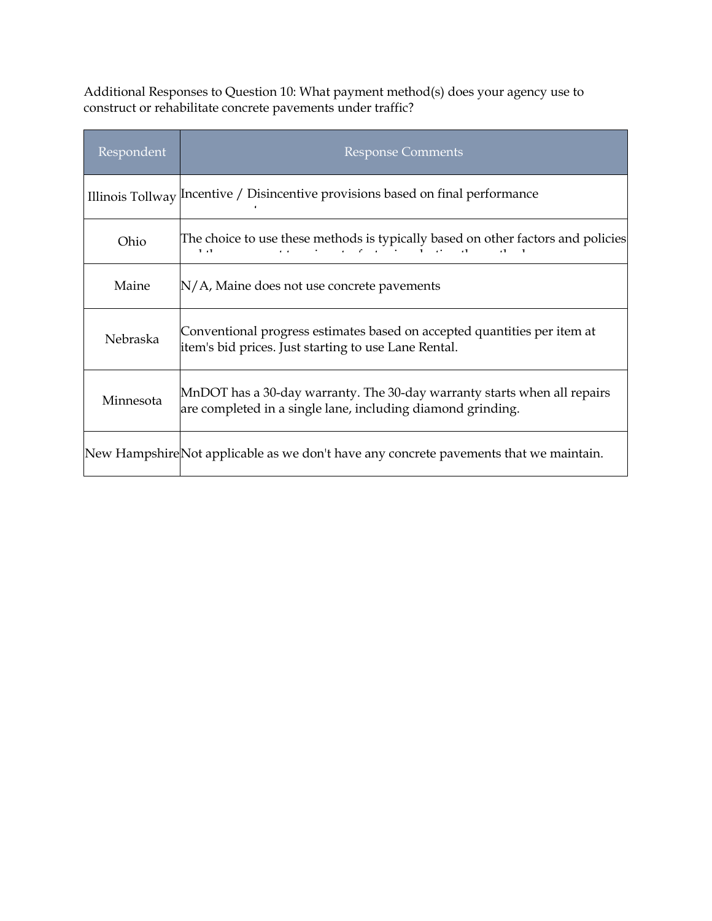Additional Responses to Question 10: What payment method(s) does your agency use to construct or rehabilitate concrete pavements under traffic?

| Respondent      | <b>Response Comments</b>                                                                                                                |
|-----------------|-----------------------------------------------------------------------------------------------------------------------------------------|
|                 | Illinois Tollway Incentive / Disincentive provisions based on final performance                                                         |
| Ohio            | The choice to use these methods is typically based on other factors and policies<br>1.1                                                 |
| Maine           | $N/A$ , Maine does not use concrete pavements                                                                                           |
| <b>Nebraska</b> | Conventional progress estimates based on accepted quantities per item at<br>item's bid prices. Just starting to use Lane Rental.        |
| Minnesota       | MnDOT has a 30-day warranty. The 30-day warranty starts when all repairs<br>are completed in a single lane, including diamond grinding. |
|                 | New HampshireNot applicable as we don't have any concrete pavements that we maintain.                                                   |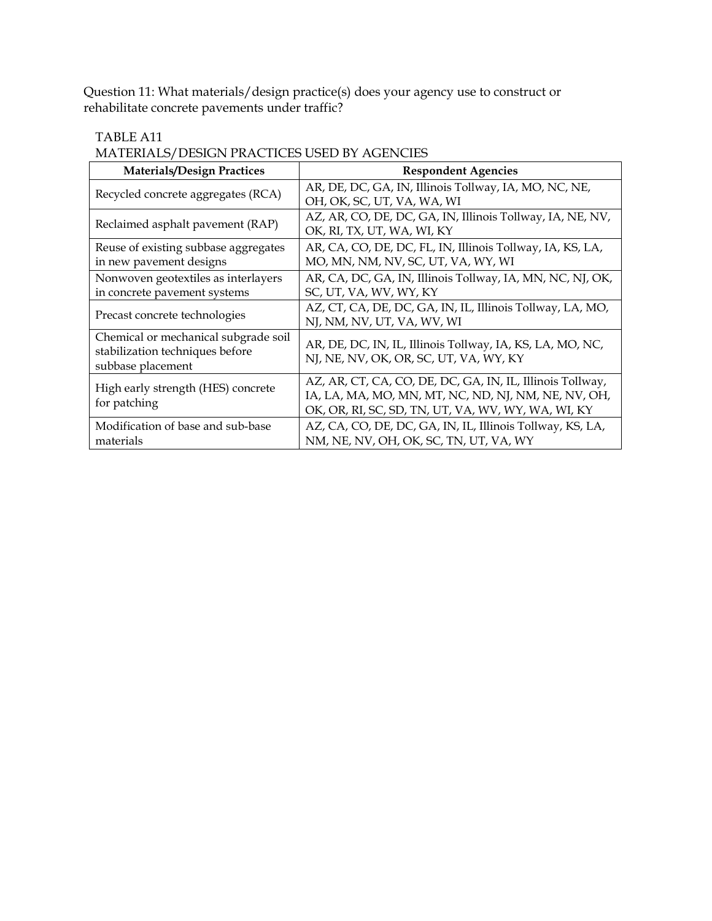Question 11: What materials/design practice(s) does your agency use to construct or rehabilitate concrete pavements under traffic?

#### TABLE A11

MATERIALS/DESIGN PRACTICES USED BY AGENCIES

| <b>Materials/Design Practices</b>                                                            | <b>Respondent Agencies</b>                                                                                                                                             |
|----------------------------------------------------------------------------------------------|------------------------------------------------------------------------------------------------------------------------------------------------------------------------|
| Recycled concrete aggregates (RCA)                                                           | AR, DE, DC, GA, IN, Illinois Tollway, IA, MO, NC, NE,<br>OH, OK, SC, UT, VA, WA, WI                                                                                    |
| Reclaimed asphalt pavement (RAP)                                                             | AZ, AR, CO, DE, DC, GA, IN, Illinois Tollway, IA, NE, NV,<br>OK, RI, TX, UT, WA, WI, KY                                                                                |
| Reuse of existing subbase aggregates<br>in new pavement designs                              | AR, CA, CO, DE, DC, FL, IN, Illinois Tollway, IA, KS, LA,<br>MO, MN, NM, NV, SC, UT, VA, WY, WI                                                                        |
| Nonwoven geotextiles as interlayers<br>in concrete pavement systems                          | AR, CA, DC, GA, IN, Illinois Tollway, IA, MN, NC, NJ, OK,<br>SC, UT, VA, WV, WY, KY                                                                                    |
| Precast concrete technologies                                                                | AZ, CT, CA, DE, DC, GA, IN, IL, Illinois Tollway, LA, MO,<br>NJ, NM, NV, UT, VA, WV, WI                                                                                |
| Chemical or mechanical subgrade soil<br>stabilization techniques before<br>subbase placement | AR, DE, DC, IN, IL, Illinois Tollway, IA, KS, LA, MO, NC,<br>NJ, NE, NV, OK, OR, SC, UT, VA, WY, KY                                                                    |
| High early strength (HES) concrete<br>for patching                                           | AZ, AR, CT, CA, CO, DE, DC, GA, IN, IL, Illinois Tollway,<br>IA, LA, MA, MO, MN, MT, NC, ND, NJ, NM, NE, NV, OH,<br>OK, OR, RI, SC, SD, TN, UT, VA, WV, WY, WA, WI, KY |
| Modification of base and sub-base<br>materials                                               | AZ, CA, CO, DE, DC, GA, IN, IL, Illinois Tollway, KS, LA,<br>NM, NE, NV, OH, OK, SC, TN, UT, VA, WY                                                                    |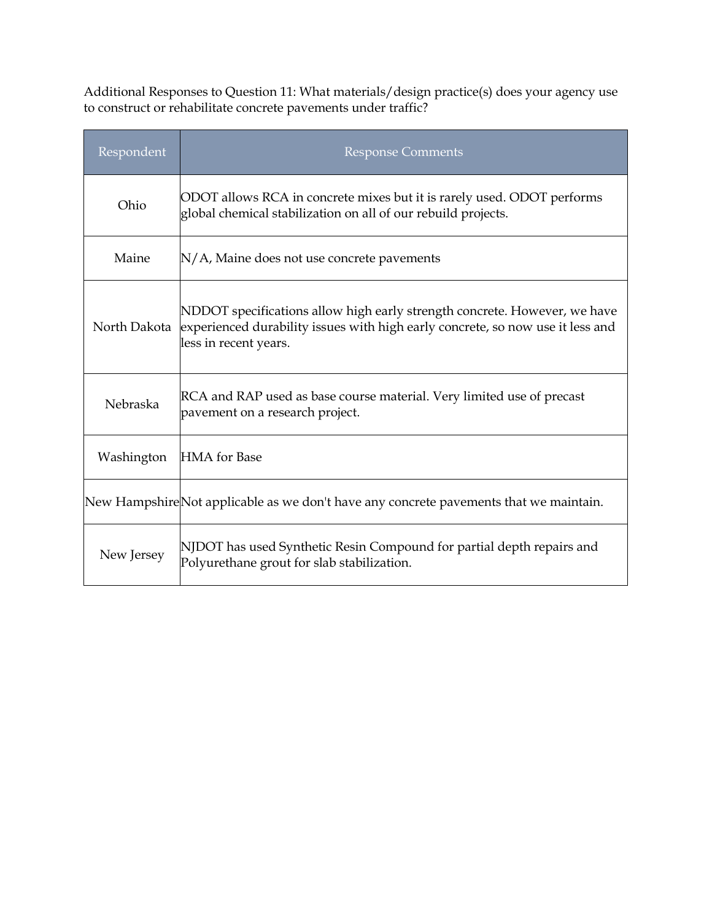Additional Responses to Question 11: What materials/design practice(s) does your agency use to construct or rehabilitate concrete pavements under traffic?

| Respondent   | <b>Response Comments</b>                                                                                                                                                             |
|--------------|--------------------------------------------------------------------------------------------------------------------------------------------------------------------------------------|
| Ohio         | ODOT allows RCA in concrete mixes but it is rarely used. ODOT performs<br>global chemical stabilization on all of our rebuild projects.                                              |
| Maine        | N/A, Maine does not use concrete pavements                                                                                                                                           |
| North Dakota | NDDOT specifications allow high early strength concrete. However, we have<br>experienced durability issues with high early concrete, so now use it less and<br>less in recent years. |
| Nebraska     | RCA and RAP used as base course material. Very limited use of precast<br>pavement on a research project.                                                                             |
| Washington   | <b>HMA</b> for Base                                                                                                                                                                  |
|              | New Hampshire Not applicable as we don't have any concrete pavements that we maintain.                                                                                               |
| New Jersey   | NJDOT has used Synthetic Resin Compound for partial depth repairs and<br>Polyurethane grout for slab stabilization.                                                                  |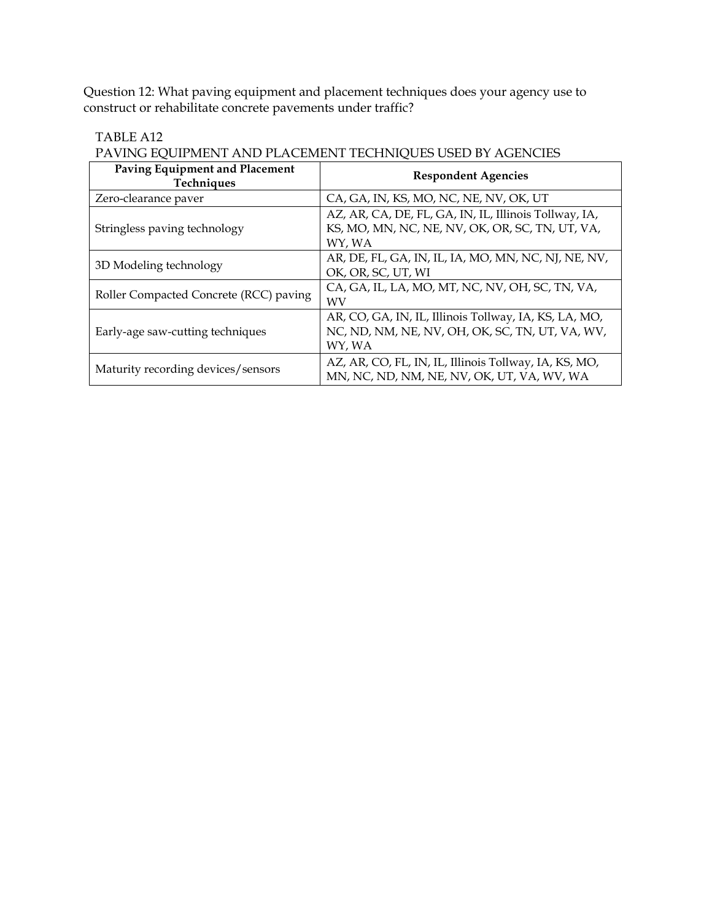Question 12: What paving equipment and placement techniques does your agency use to construct or rehabilitate concrete pavements under traffic?

#### TABLE A12

### PAVING EQUIPMENT AND PLACEMENT TECHNIQUES USED BY AGENCIES

| Paving Equipment and Placement<br><b>Techniques</b> | <b>Respondent Agencies</b>                                                                                         |
|-----------------------------------------------------|--------------------------------------------------------------------------------------------------------------------|
| Zero-clearance paver                                | CA, GA, IN, KS, MO, NC, NE, NV, OK, UT                                                                             |
| Stringless paving technology                        | AZ, AR, CA, DE, FL, GA, IN, IL, Illinois Tollway, IA,<br>KS, MO, MN, NC, NE, NV, OK, OR, SC, TN, UT, VA,<br>WY, WA |
| 3D Modeling technology                              | AR, DE, FL, GA, IN, IL, IA, MO, MN, NC, NJ, NE, NV,<br>OK, OR, SC, UT, WI                                          |
| Roller Compacted Concrete (RCC) paving              | CA, GA, IL, LA, MO, MT, NC, NV, OH, SC, TN, VA,<br>WV                                                              |
| Early-age saw-cutting techniques                    | AR, CO, GA, IN, IL, Illinois Tollway, IA, KS, LA, MO,<br>NC, ND, NM, NE, NV, OH, OK, SC, TN, UT, VA, WV,<br>WY, WA |
| Maturity recording devices/sensors                  | AZ, AR, CO, FL, IN, IL, Illinois Tollway, IA, KS, MO,<br>MN, NC, ND, NM, NE, NV, OK, UT, VA, WV, WA                |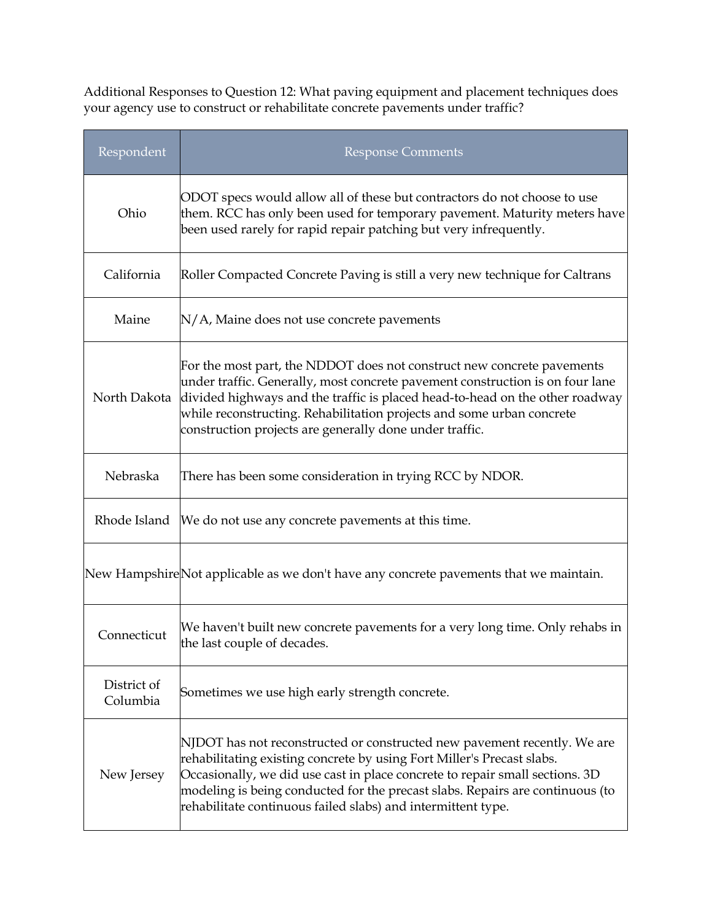Additional Responses to Question 12: What paving equipment and placement techniques does your agency use to construct or rehabilitate concrete pavements under traffic?

| Respondent              | Response Comments                                                                                                                                                                                                                                                                                                                                                                   |
|-------------------------|-------------------------------------------------------------------------------------------------------------------------------------------------------------------------------------------------------------------------------------------------------------------------------------------------------------------------------------------------------------------------------------|
| Ohio                    | ODOT specs would allow all of these but contractors do not choose to use<br>them. RCC has only been used for temporary pavement. Maturity meters have<br>been used rarely for rapid repair patching but very infrequently.                                                                                                                                                          |
| California              | Roller Compacted Concrete Paving is still a very new technique for Caltrans                                                                                                                                                                                                                                                                                                         |
| Maine                   | $N/A$ , Maine does not use concrete pavements                                                                                                                                                                                                                                                                                                                                       |
| North Dakota            | For the most part, the NDDOT does not construct new concrete pavements<br>under traffic. Generally, most concrete pavement construction is on four lane<br>divided highways and the traffic is placed head-to-head on the other roadway<br>while reconstructing. Rehabilitation projects and some urban concrete<br>construction projects are generally done under traffic.         |
| Nebraska                | There has been some consideration in trying RCC by NDOR.                                                                                                                                                                                                                                                                                                                            |
| Rhode Island            | We do not use any concrete pavements at this time.                                                                                                                                                                                                                                                                                                                                  |
|                         | New HampshireNot applicable as we don't have any concrete pavements that we maintain.                                                                                                                                                                                                                                                                                               |
| Connecticut             | We haven't built new concrete pavements for a very long time. Only rehabs in<br>the last couple of decades.                                                                                                                                                                                                                                                                         |
| District of<br>Columbia | Sometimes we use high early strength concrete.                                                                                                                                                                                                                                                                                                                                      |
| New Jersey              | NJDOT has not reconstructed or constructed new pavement recently. We are<br>rehabilitating existing concrete by using Fort Miller's Precast slabs.<br>Occasionally, we did use cast in place concrete to repair small sections. 3D<br>modeling is being conducted for the precast slabs. Repairs are continuous (to<br>rehabilitate continuous failed slabs) and intermittent type. |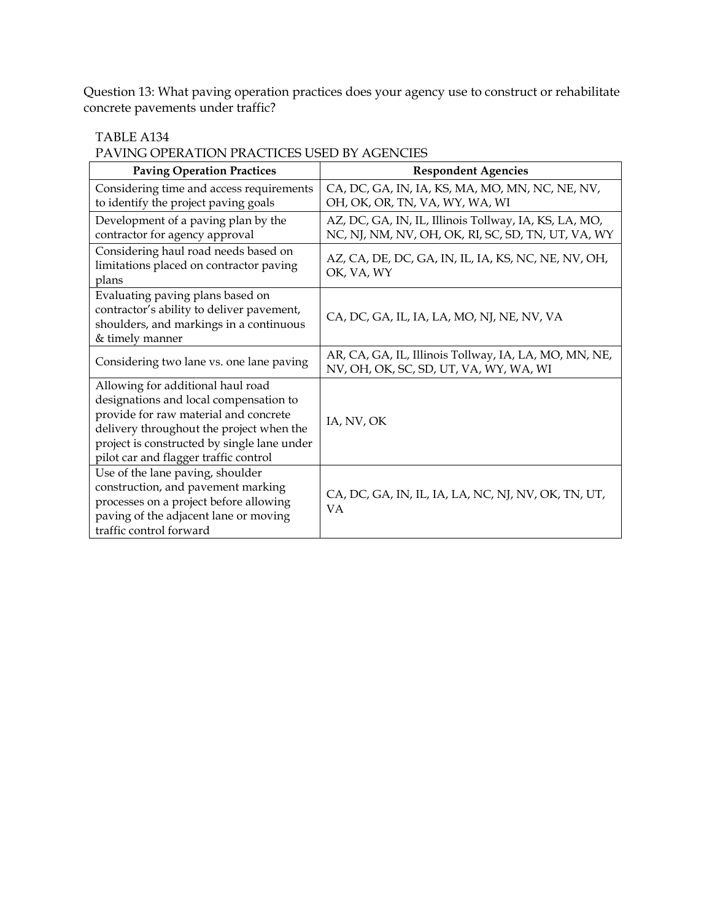Question 13: What paving operation practices does your agency use to construct or rehabilitate concrete pavements under traffic?

#### TABLE A134

PAVING OPERATION PRACTICES USED BY AGENCIES

| <b>Paving Operation Practices</b>                                                                                                                                                                                                                        | <b>Respondent Agencies</b>                                                                                  |
|----------------------------------------------------------------------------------------------------------------------------------------------------------------------------------------------------------------------------------------------------------|-------------------------------------------------------------------------------------------------------------|
| Considering time and access requirements<br>to identify the project paving goals                                                                                                                                                                         | CA, DC, GA, IN, IA, KS, MA, MO, MN, NC, NE, NV,<br>OH, OK, OR, TN, VA, WY, WA, WI                           |
| Development of a paving plan by the<br>contractor for agency approval                                                                                                                                                                                    | AZ, DC, GA, IN, IL, Illinois Tollway, IA, KS, LA, MO,<br>NC, NJ, NM, NV, OH, OK, RI, SC, SD, TN, UT, VA, WY |
| Considering haul road needs based on<br>limitations placed on contractor paving<br>plans                                                                                                                                                                 | AZ, CA, DE, DC, GA, IN, IL, IA, KS, NC, NE, NV, OH,<br>OK, VA, WY                                           |
| Evaluating paving plans based on<br>contractor's ability to deliver pavement,<br>shoulders, and markings in a continuous<br>& timely manner                                                                                                              | CA, DC, GA, IL, IA, LA, MO, NJ, NE, NV, VA                                                                  |
| Considering two lane vs. one lane paving                                                                                                                                                                                                                 | AR, CA, GA, IL, Illinois Tollway, IA, LA, MO, MN, NE,<br>NV, OH, OK, SC, SD, UT, VA, WY, WA, WI             |
| Allowing for additional haul road<br>designations and local compensation to<br>provide for raw material and concrete<br>delivery throughout the project when the<br>project is constructed by single lane under<br>pilot car and flagger traffic control | IA, NV, OK                                                                                                  |
| Use of the lane paving, shoulder<br>construction, and pavement marking<br>processes on a project before allowing<br>paving of the adjacent lane or moving<br>traffic control forward                                                                     | CA, DC, GA, IN, IL, IA, LA, NC, NJ, NV, OK, TN, UT,<br><b>VA</b>                                            |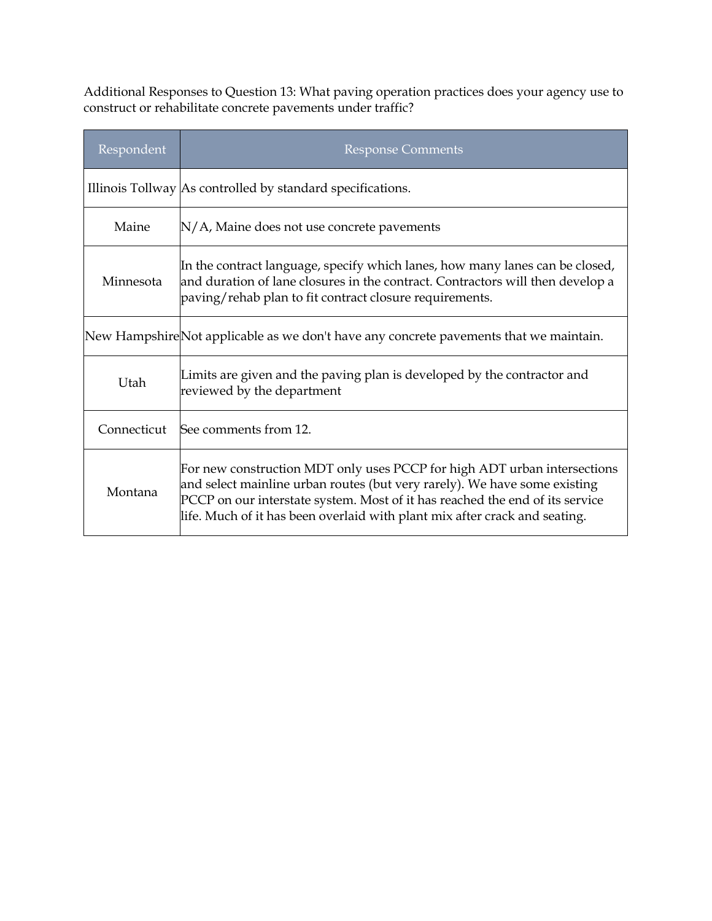Additional Responses to Question 13: What paving operation practices does your agency use to construct or rehabilitate concrete pavements under traffic?

| Respondent  | <b>Response Comments</b>                                                                                                                                                                                                                                                                                            |
|-------------|---------------------------------------------------------------------------------------------------------------------------------------------------------------------------------------------------------------------------------------------------------------------------------------------------------------------|
|             | Illinois Tollway As controlled by standard specifications.                                                                                                                                                                                                                                                          |
| Maine       | $N/A$ , Maine does not use concrete pavements                                                                                                                                                                                                                                                                       |
| Minnesota   | In the contract language, specify which lanes, how many lanes can be closed,<br>and duration of lane closures in the contract. Contractors will then develop a<br>paving/rehab plan to fit contract closure requirements.                                                                                           |
|             | New HampshireNot applicable as we don't have any concrete pavements that we maintain.                                                                                                                                                                                                                               |
| Utah        | Limits are given and the paving plan is developed by the contractor and<br>reviewed by the department                                                                                                                                                                                                               |
| Connecticut | See comments from 12.                                                                                                                                                                                                                                                                                               |
| Montana     | For new construction MDT only uses PCCP for high ADT urban intersections<br>and select mainline urban routes (but very rarely). We have some existing<br>PCCP on our interstate system. Most of it has reached the end of its service<br>life. Much of it has been overlaid with plant mix after crack and seating. |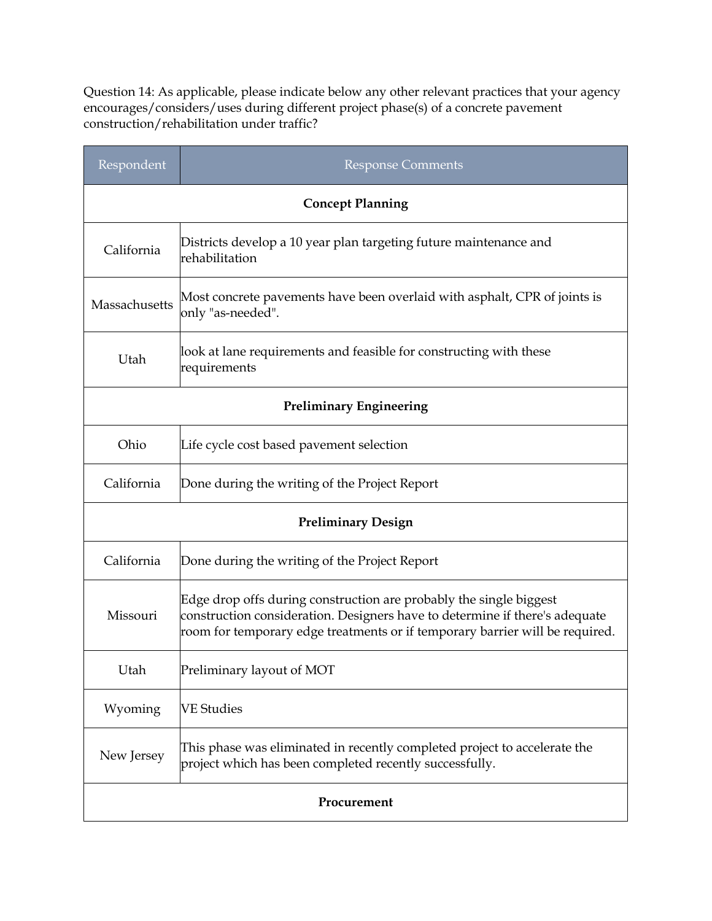Question 14: As applicable, please indicate below any other relevant practices that your agency encourages/considers/uses during different project phase(s) of a concrete pavement construction/rehabilitation under traffic?

| Respondent                     | <b>Response Comments</b>                                                                                                                                                                                                          |  |  |
|--------------------------------|-----------------------------------------------------------------------------------------------------------------------------------------------------------------------------------------------------------------------------------|--|--|
|                                | <b>Concept Planning</b>                                                                                                                                                                                                           |  |  |
| California                     | Districts develop a 10 year plan targeting future maintenance and<br>rehabilitation                                                                                                                                               |  |  |
| Massachusetts                  | Most concrete pavements have been overlaid with asphalt, CPR of joints is<br>only "as-needed".                                                                                                                                    |  |  |
| Utah                           | look at lane requirements and feasible for constructing with these<br>requirements                                                                                                                                                |  |  |
| <b>Preliminary Engineering</b> |                                                                                                                                                                                                                                   |  |  |
| Ohio                           | Life cycle cost based pavement selection                                                                                                                                                                                          |  |  |
| California                     | Done during the writing of the Project Report                                                                                                                                                                                     |  |  |
| <b>Preliminary Design</b>      |                                                                                                                                                                                                                                   |  |  |
| California                     | Done during the writing of the Project Report                                                                                                                                                                                     |  |  |
| Missouri                       | Edge drop offs during construction are probably the single biggest<br>construction consideration. Designers have to determine if there's adequate<br>room for temporary edge treatments or if temporary barrier will be required. |  |  |
| Utah                           | Preliminary layout of MOT                                                                                                                                                                                                         |  |  |
| Wyoming                        | <b>VE Studies</b>                                                                                                                                                                                                                 |  |  |
| New Jersey                     | This phase was eliminated in recently completed project to accelerate the<br>project which has been completed recently successfully.                                                                                              |  |  |
| Procurement                    |                                                                                                                                                                                                                                   |  |  |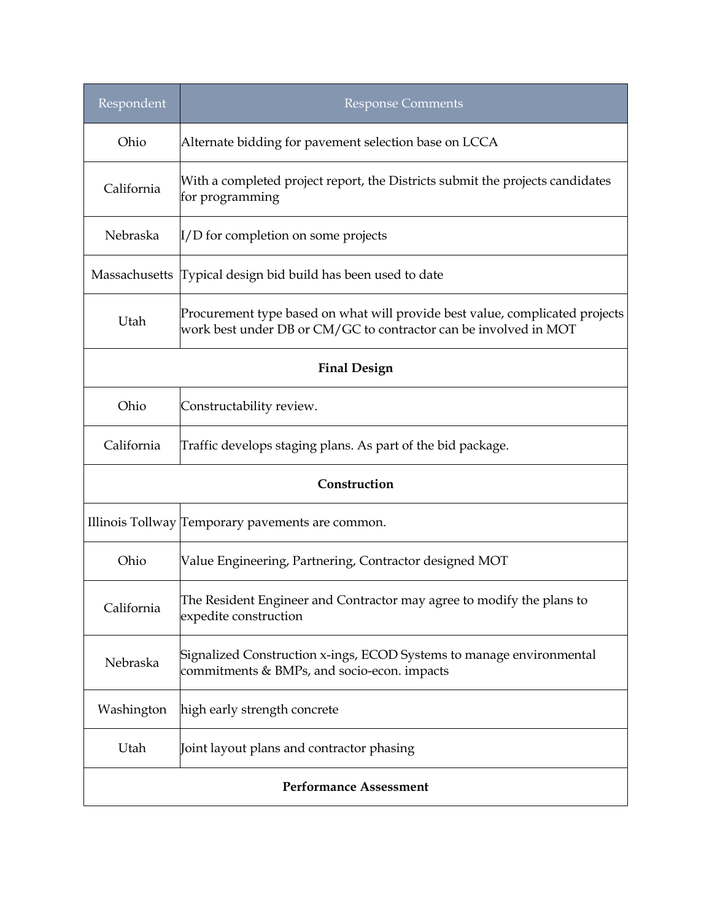| Respondent                    | <b>Response Comments</b>                                                                                                                         |  |
|-------------------------------|--------------------------------------------------------------------------------------------------------------------------------------------------|--|
| Ohio                          | Alternate bidding for pavement selection base on LCCA                                                                                            |  |
| California                    | With a completed project report, the Districts submit the projects candidates<br>for programming                                                 |  |
| Nebraska                      | $\mathbb{I}/D$ for completion on some projects                                                                                                   |  |
|                               | Massachusetts Typical design bid build has been used to date                                                                                     |  |
| Utah                          | Procurement type based on what will provide best value, complicated projects<br>work best under DB or CM/GC to contractor can be involved in MOT |  |
| <b>Final Design</b>           |                                                                                                                                                  |  |
| Ohio                          | Constructability review.                                                                                                                         |  |
| California                    | Traffic develops staging plans. As part of the bid package.                                                                                      |  |
| Construction                  |                                                                                                                                                  |  |
|                               | Illinois Tollway Temporary pavements are common.                                                                                                 |  |
| Ohio                          | Value Engineering, Partnering, Contractor designed MOT                                                                                           |  |
| California                    | The Resident Engineer and Contractor may agree to modify the plans to<br>expedite construction                                                   |  |
| Nebraska                      | Signalized Construction x-ings, ECOD Systems to manage environmental<br>commitments & BMPs, and socio-econ. impacts                              |  |
| Washington                    | high early strength concrete                                                                                                                     |  |
| Utah                          | Joint layout plans and contractor phasing                                                                                                        |  |
| <b>Performance Assessment</b> |                                                                                                                                                  |  |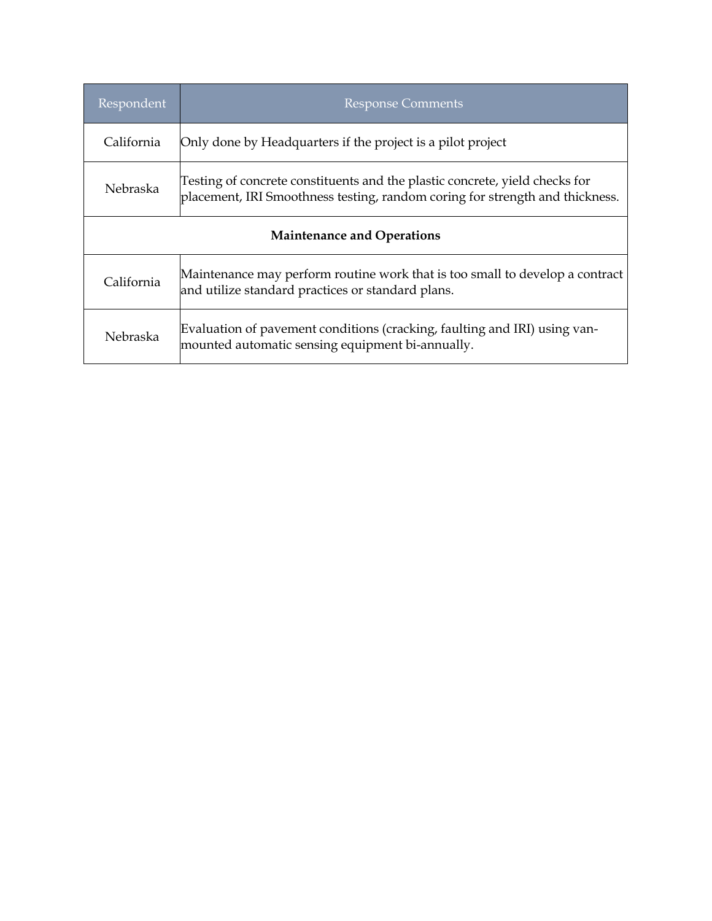| Respondent                        | <b>Response Comments</b>                                                                                                                                    |  |
|-----------------------------------|-------------------------------------------------------------------------------------------------------------------------------------------------------------|--|
| California                        | Only done by Headquarters if the project is a pilot project                                                                                                 |  |
| Nebraska                          | Testing of concrete constituents and the plastic concrete, yield checks for<br>placement, IRI Smoothness testing, random coring for strength and thickness. |  |
| <b>Maintenance and Operations</b> |                                                                                                                                                             |  |
| California                        | Maintenance may perform routine work that is too small to develop a contract<br>and utilize standard practices or standard plans.                           |  |
| Nebraska                          | Evaluation of pavement conditions (cracking, faulting and IRI) using van-<br>mounted automatic sensing equipment bi-annually.                               |  |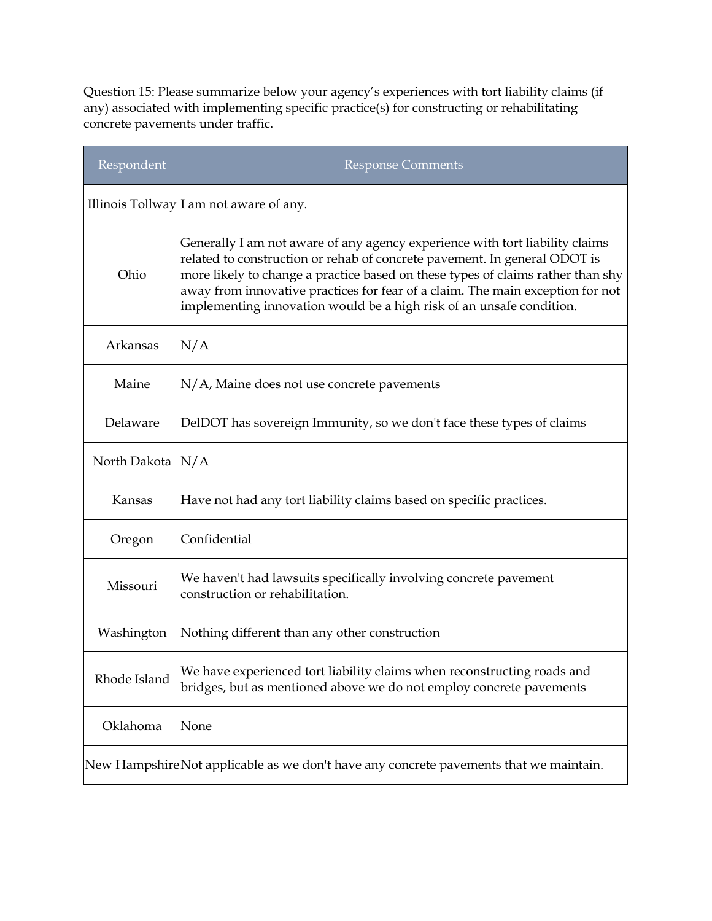Question 15: Please summarize below your agency's experiences with tort liability claims (if any) associated with implementing specific practice(s) for constructing or rehabilitating concrete pavements under traffic.

| Respondent       | <b>Response Comments</b>                                                                                                                                                                                                                                                                                                                                                                               |
|------------------|--------------------------------------------------------------------------------------------------------------------------------------------------------------------------------------------------------------------------------------------------------------------------------------------------------------------------------------------------------------------------------------------------------|
|                  | Illinois Tollway I am not aware of any.                                                                                                                                                                                                                                                                                                                                                                |
| Ohio             | Generally I am not aware of any agency experience with tort liability claims<br>related to construction or rehab of concrete pavement. In general ODOT is<br>more likely to change a practice based on these types of claims rather than shy<br>away from innovative practices for fear of a claim. The main exception for not<br>implementing innovation would be a high risk of an unsafe condition. |
| Arkansas         | N/A                                                                                                                                                                                                                                                                                                                                                                                                    |
| Maine            | $N/A$ , Maine does not use concrete pavements                                                                                                                                                                                                                                                                                                                                                          |
| Delaware         | DelDOT has sovereign Immunity, so we don't face these types of claims                                                                                                                                                                                                                                                                                                                                  |
| North Dakota N/A |                                                                                                                                                                                                                                                                                                                                                                                                        |
| Kansas           | Have not had any tort liability claims based on specific practices.                                                                                                                                                                                                                                                                                                                                    |
| Oregon           | Confidential                                                                                                                                                                                                                                                                                                                                                                                           |
| Missouri         | We haven't had lawsuits specifically involving concrete pavement<br>construction or rehabilitation.                                                                                                                                                                                                                                                                                                    |
| Washington       | Nothing different than any other construction                                                                                                                                                                                                                                                                                                                                                          |
| Rhode Island     | We have experienced tort liability claims when reconstructing roads and<br>bridges, but as mentioned above we do not employ concrete pavements                                                                                                                                                                                                                                                         |
| Oklahoma         | None                                                                                                                                                                                                                                                                                                                                                                                                   |
|                  | New HampshireNot applicable as we don't have any concrete pavements that we maintain.                                                                                                                                                                                                                                                                                                                  |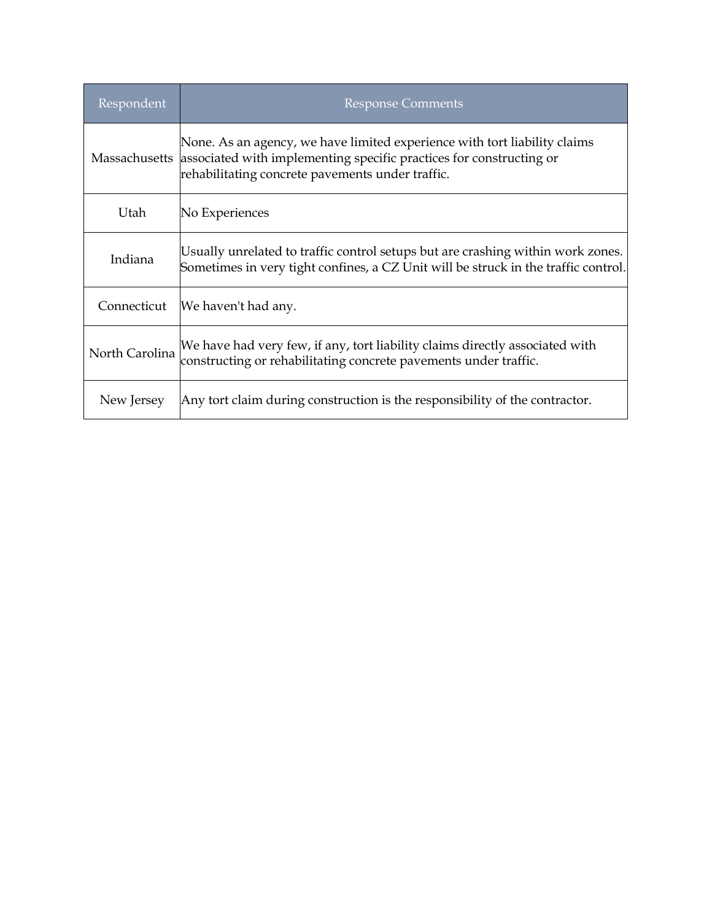| Respondent     | <b>Response Comments</b>                                                                                                                                                                                           |
|----------------|--------------------------------------------------------------------------------------------------------------------------------------------------------------------------------------------------------------------|
|                | None. As an agency, we have limited experience with tort liability claims<br>Massachusetts associated with implementing specific practices for constructing or<br>rehabilitating concrete pavements under traffic. |
| Utah           | No Experiences                                                                                                                                                                                                     |
| Indiana        | Usually unrelated to traffic control setups but are crashing within work zones.<br>Sometimes in very tight confines, a CZ Unit will be struck in the traffic control.                                              |
| Connecticut    | We haven't had any.                                                                                                                                                                                                |
| North Carolina | We have had very few, if any, tort liability claims directly associated with<br>constructing or rehabilitating concrete pavements under traffic.                                                                   |
| New Jersey     | Any tort claim during construction is the responsibility of the contractor.                                                                                                                                        |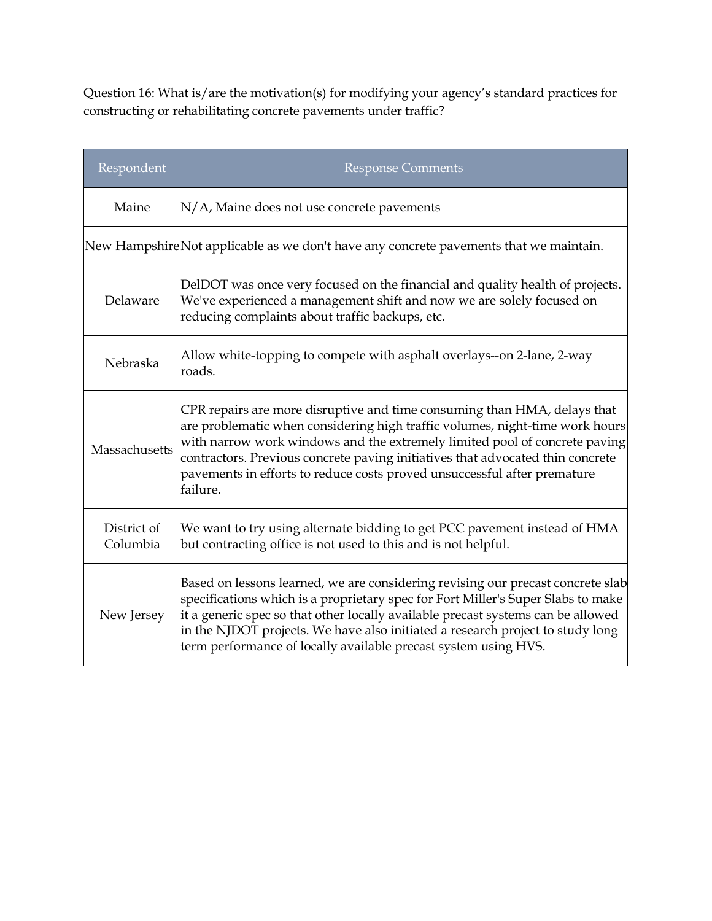Question 16: What is/are the motivation(s) for modifying your agency's standard practices for constructing or rehabilitating concrete pavements under traffic?

| Respondent              | <b>Response Comments</b>                                                                                                                                                                                                                                                                                                                                                                                         |
|-------------------------|------------------------------------------------------------------------------------------------------------------------------------------------------------------------------------------------------------------------------------------------------------------------------------------------------------------------------------------------------------------------------------------------------------------|
| Maine                   | N/A, Maine does not use concrete pavements                                                                                                                                                                                                                                                                                                                                                                       |
|                         | New HampshireNot applicable as we don't have any concrete pavements that we maintain.                                                                                                                                                                                                                                                                                                                            |
| Delaware                | DelDOT was once very focused on the financial and quality health of projects.<br>We've experienced a management shift and now we are solely focused on<br>reducing complaints about traffic backups, etc.                                                                                                                                                                                                        |
| Nebraska                | Allow white-topping to compete with asphalt overlays--on 2-lane, 2-way<br>roads.                                                                                                                                                                                                                                                                                                                                 |
| Massachusetts           | CPR repairs are more disruptive and time consuming than HMA, delays that<br>are problematic when considering high traffic volumes, night-time work hours<br>with narrow work windows and the extremely limited pool of concrete paving<br>contractors. Previous concrete paving initiatives that advocated thin concrete<br>pavements in efforts to reduce costs proved unsuccessful after premature<br>failure. |
| District of<br>Columbia | We want to try using alternate bidding to get PCC pavement instead of HMA<br>but contracting office is not used to this and is not helpful.                                                                                                                                                                                                                                                                      |
| New Jersey              | Based on lessons learned, we are considering revising our precast concrete slab<br>specifications which is a proprietary spec for Fort Miller's Super Slabs to make<br>it a generic spec so that other locally available precast systems can be allowed<br>in the NJDOT projects. We have also initiated a research project to study long<br>term performance of locally available precast system using HVS.     |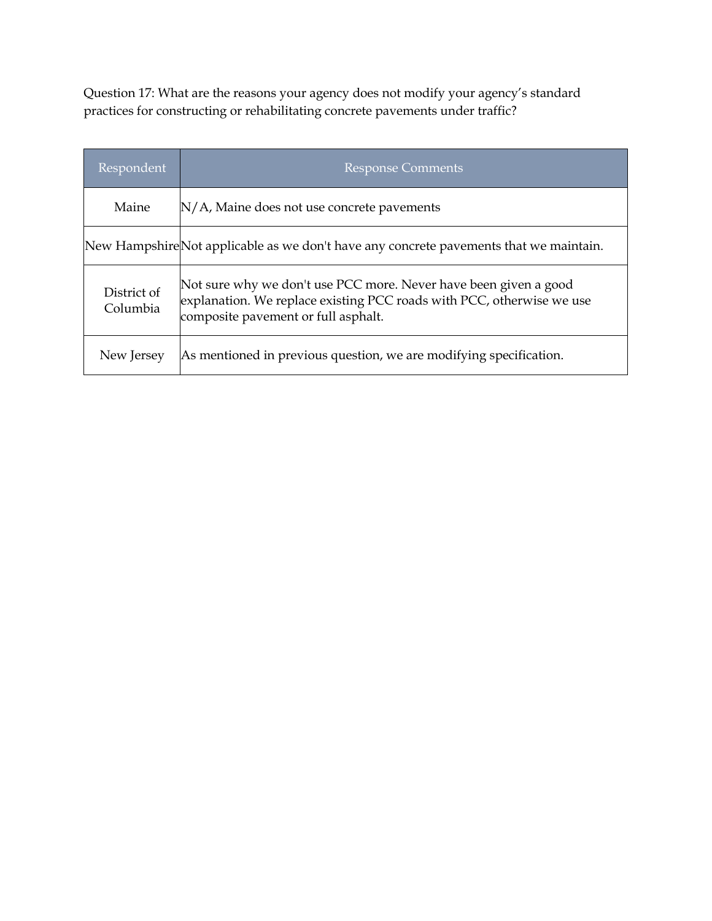Question 17: What are the reasons your agency does not modify your agency's standard practices for constructing or rehabilitating concrete pavements under traffic?

| Respondent              | <b>Response Comments</b>                                                                                                                                                         |
|-------------------------|----------------------------------------------------------------------------------------------------------------------------------------------------------------------------------|
| Maine                   | $N/A$ , Maine does not use concrete pavements                                                                                                                                    |
|                         | New Hampshire Not applicable as we don't have any concrete pavements that we maintain.                                                                                           |
| District of<br>Columbia | Not sure why we don't use PCC more. Never have been given a good<br>explanation. We replace existing PCC roads with PCC, otherwise we use<br>composite pavement or full asphalt. |
| New Jersey              | As mentioned in previous question, we are modifying specification.                                                                                                               |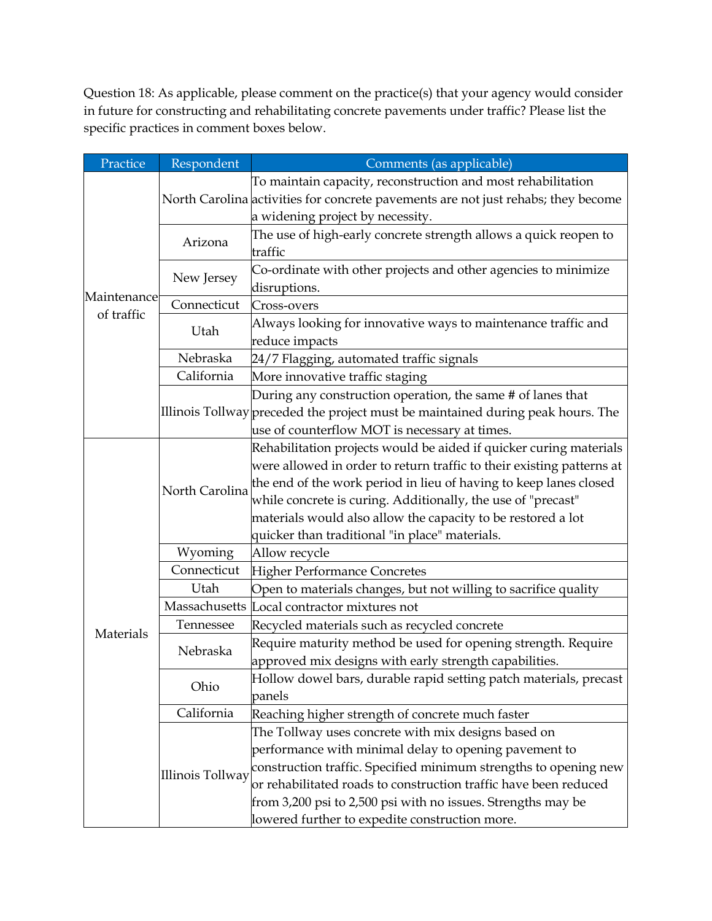Question 18: As applicable, please comment on the practice(s) that your agency would consider in future for constructing and rehabilitating concrete pavements under traffic? Please list the specific practices in comment boxes below.

| Practice                  | Respondent       | Comments (as applicable)                                                                                                                                                                                                                                                                                                                                                                           |
|---------------------------|------------------|----------------------------------------------------------------------------------------------------------------------------------------------------------------------------------------------------------------------------------------------------------------------------------------------------------------------------------------------------------------------------------------------------|
| Maintenance<br>of traffic |                  | To maintain capacity, reconstruction and most rehabilitation<br>North Carolina activities for concrete pavements are not just rehabs; they become<br>a widening project by necessity.                                                                                                                                                                                                              |
|                           | Arizona          | The use of high-early concrete strength allows a quick reopen to<br>traffic                                                                                                                                                                                                                                                                                                                        |
|                           | New Jersey       | Co-ordinate with other projects and other agencies to minimize<br>disruptions.                                                                                                                                                                                                                                                                                                                     |
|                           | Connecticut      | Cross-overs                                                                                                                                                                                                                                                                                                                                                                                        |
|                           | Utah             | Always looking for innovative ways to maintenance traffic and<br>reduce impacts                                                                                                                                                                                                                                                                                                                    |
|                           | Nebraska         | 24/7 Flagging, automated traffic signals                                                                                                                                                                                                                                                                                                                                                           |
|                           | California       | More innovative traffic staging                                                                                                                                                                                                                                                                                                                                                                    |
|                           |                  | During any construction operation, the same # of lanes that<br>Illinois Tollway preceded the project must be maintained during peak hours. The<br>use of counterflow MOT is necessary at times.                                                                                                                                                                                                    |
|                           | North Carolina   | Rehabilitation projects would be aided if quicker curing materials<br>were allowed in order to return traffic to their existing patterns at<br>the end of the work period in lieu of having to keep lanes closed<br>while concrete is curing. Additionally, the use of "precast"<br>materials would also allow the capacity to be restored a lot<br>quicker than traditional "in place" materials. |
|                           | Wyoming          | Allow recycle                                                                                                                                                                                                                                                                                                                                                                                      |
|                           | Connecticut      | Higher Performance Concretes                                                                                                                                                                                                                                                                                                                                                                       |
|                           | Utah             | Open to materials changes, but not willing to sacrifice quality                                                                                                                                                                                                                                                                                                                                    |
| Materials                 |                  | Massachusetts Local contractor mixtures not                                                                                                                                                                                                                                                                                                                                                        |
|                           | Tennessee        | Recycled materials such as recycled concrete                                                                                                                                                                                                                                                                                                                                                       |
|                           | Nebraska         | Require maturity method be used for opening strength. Require<br>approved mix designs with early strength capabilities.                                                                                                                                                                                                                                                                            |
|                           | Ohio             | Hollow dowel bars, durable rapid setting patch materials, precast<br>panels                                                                                                                                                                                                                                                                                                                        |
|                           | California       | Reaching higher strength of concrete much faster                                                                                                                                                                                                                                                                                                                                                   |
|                           | Illinois Tollway | The Tollway uses concrete with mix designs based on<br>performance with minimal delay to opening pavement to<br>construction traffic. Specified minimum strengths to opening new<br>or rehabilitated roads to construction traffic have been reduced<br>from 3,200 psi to 2,500 psi with no issues. Strengths may be                                                                               |
|                           |                  | lowered further to expedite construction more.                                                                                                                                                                                                                                                                                                                                                     |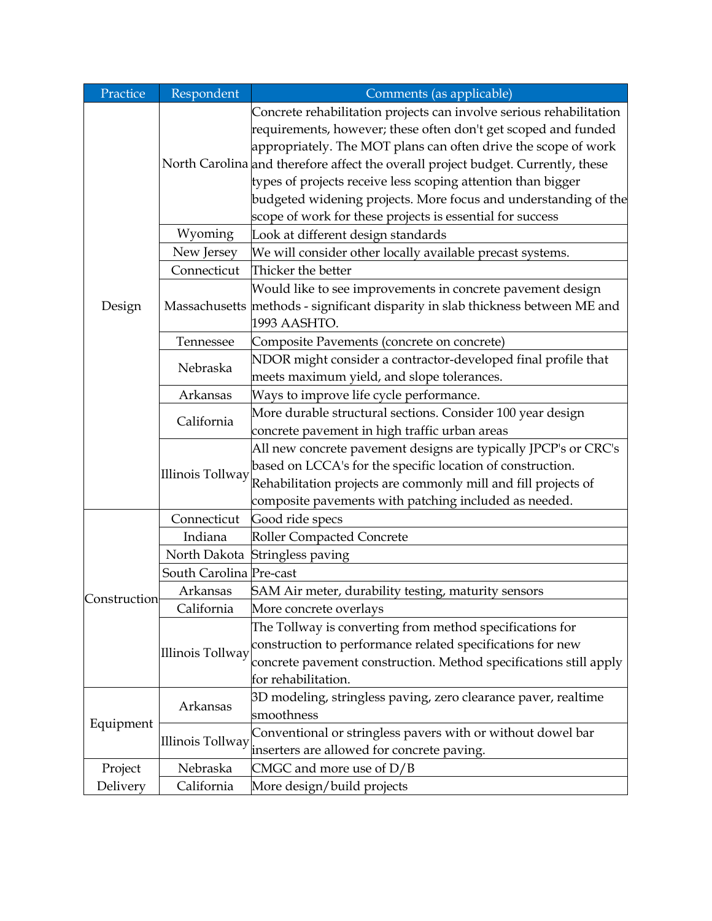| Practice     | Respondent              | Comments (as applicable)                                                                                                                                                                                                                                                                                                                                                                                                                                                                    |
|--------------|-------------------------|---------------------------------------------------------------------------------------------------------------------------------------------------------------------------------------------------------------------------------------------------------------------------------------------------------------------------------------------------------------------------------------------------------------------------------------------------------------------------------------------|
| Design       |                         | Concrete rehabilitation projects can involve serious rehabilitation<br>requirements, however; these often don't get scoped and funded<br>appropriately. The MOT plans can often drive the scope of work<br>North Carolina and therefore affect the overall project budget. Currently, these<br>types of projects receive less scoping attention than bigger<br>budgeted widening projects. More focus and understanding of the<br>scope of work for these projects is essential for success |
|              | Wyoming                 | Look at different design standards                                                                                                                                                                                                                                                                                                                                                                                                                                                          |
|              | New Jersey              | We will consider other locally available precast systems.                                                                                                                                                                                                                                                                                                                                                                                                                                   |
|              | Connecticut             | Thicker the better                                                                                                                                                                                                                                                                                                                                                                                                                                                                          |
|              |                         | Would like to see improvements in concrete pavement design<br>Massachusetts methods - significant disparity in slab thickness between ME and<br>1993 AASHTO.                                                                                                                                                                                                                                                                                                                                |
|              | Tennessee               | Composite Pavements (concrete on concrete)                                                                                                                                                                                                                                                                                                                                                                                                                                                  |
|              | Nebraska                | NDOR might consider a contractor-developed final profile that<br>meets maximum yield, and slope tolerances.                                                                                                                                                                                                                                                                                                                                                                                 |
|              | Arkansas                | Ways to improve life cycle performance.                                                                                                                                                                                                                                                                                                                                                                                                                                                     |
|              | California              | More durable structural sections. Consider 100 year design<br>concrete pavement in high traffic urban areas                                                                                                                                                                                                                                                                                                                                                                                 |
|              | Illinois Tollway        | All new concrete pavement designs are typically JPCP's or CRC's<br>based on LCCA's for the specific location of construction.<br>Rehabilitation projects are commonly mill and fill projects of<br>composite pavements with patching included as needed.                                                                                                                                                                                                                                    |
|              | Connecticut             | Good ride specs                                                                                                                                                                                                                                                                                                                                                                                                                                                                             |
|              | Indiana                 | Roller Compacted Concrete                                                                                                                                                                                                                                                                                                                                                                                                                                                                   |
| Construction |                         | North Dakota Stringless paving                                                                                                                                                                                                                                                                                                                                                                                                                                                              |
|              | South Carolina Pre-cast |                                                                                                                                                                                                                                                                                                                                                                                                                                                                                             |
|              | Arkansas                | SAM Air meter, durability testing, maturity sensors                                                                                                                                                                                                                                                                                                                                                                                                                                         |
|              | California              | More concrete overlays                                                                                                                                                                                                                                                                                                                                                                                                                                                                      |
|              | Illinois Tollway        | The Tollway is converting from method specifications for<br>construction to performance related specifications for new<br>concrete pavement construction. Method specifications still apply<br>for rehabilitation.                                                                                                                                                                                                                                                                          |
| Equipment    | Arkansas                | 3D modeling, stringless paving, zero clearance paver, realtime<br>smoothness                                                                                                                                                                                                                                                                                                                                                                                                                |
|              | Illinois Tollway        | Conventional or stringless pavers with or without dowel bar<br>inserters are allowed for concrete paving.                                                                                                                                                                                                                                                                                                                                                                                   |
| Project      | Nebraska                | CMGC and more use of $D/B$                                                                                                                                                                                                                                                                                                                                                                                                                                                                  |
| Delivery     | California              | More design/build projects                                                                                                                                                                                                                                                                                                                                                                                                                                                                  |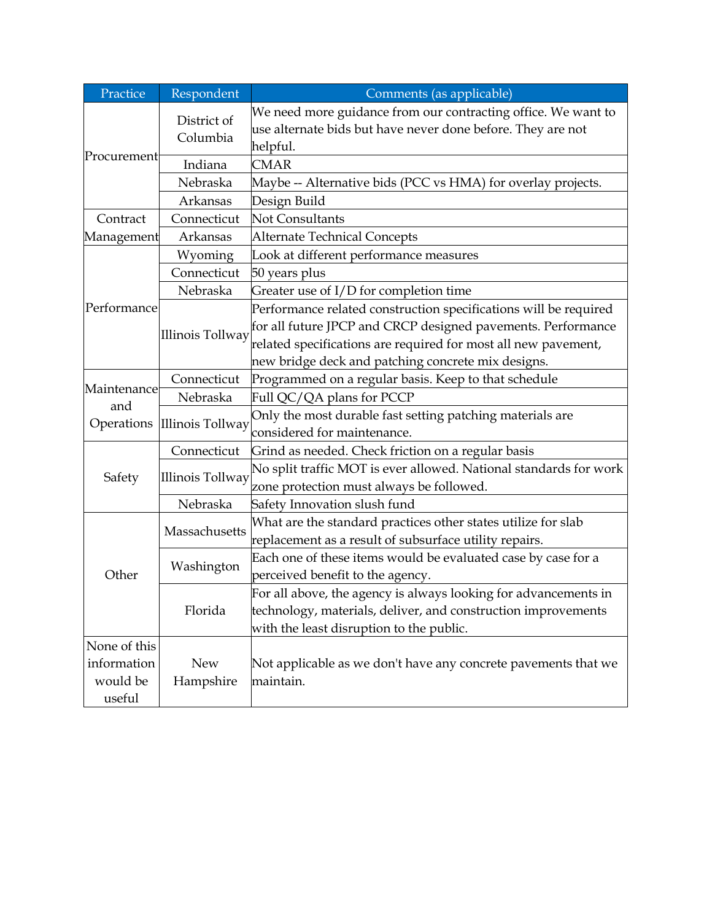| Practice           | Respondent              | Comments (as applicable)                                                                                                         |
|--------------------|-------------------------|----------------------------------------------------------------------------------------------------------------------------------|
| Procurement        | District of<br>Columbia | We need more guidance from our contracting office. We want to<br>use alternate bids but have never done before. They are not     |
|                    |                         | helpful.                                                                                                                         |
|                    | Indiana                 | <b>CMAR</b>                                                                                                                      |
|                    | Nebraska                | Maybe -- Alternative bids (PCC vs HMA) for overlay projects.                                                                     |
|                    | Arkansas                | Design Build                                                                                                                     |
| Contract           | Connecticut             | <b>Not Consultants</b>                                                                                                           |
| Management         | Arkansas                | <b>Alternate Technical Concepts</b>                                                                                              |
|                    | Wyoming                 | Look at different performance measures                                                                                           |
|                    | Connecticut             | 50 years plus                                                                                                                    |
|                    | Nebraska                | Greater use of I/D for completion time                                                                                           |
| Performance        | <b>Illinois Tollway</b> | Performance related construction specifications will be required<br>for all future JPCP and CRCP designed pavements. Performance |
|                    |                         | related specifications are required for most all new pavement,                                                                   |
|                    |                         | new bridge deck and patching concrete mix designs.                                                                               |
| Maintenance        | Connecticut             | Programmed on a regular basis. Keep to that schedule                                                                             |
| and                | Nebraska                | Full QC/QA plans for PCCP                                                                                                        |
| Operations         | Illinois Tollway        | Only the most durable fast setting patching materials are                                                                        |
|                    |                         | considered for maintenance.                                                                                                      |
|                    | Connecticut             | Grind as needed. Check friction on a regular basis                                                                               |
| Safety             | <b>Illinois Tollway</b> | No split traffic MOT is ever allowed. National standards for work<br>zone protection must always be followed.                    |
|                    | Nebraska                | Safety Innovation slush fund                                                                                                     |
| Other              | Massachusetts           | What are the standard practices other states utilize for slab<br>replacement as a result of subsurface utility repairs.          |
|                    | Washington              | Each one of these items would be evaluated case by case for a                                                                    |
|                    | Florida                 | perceived benefit to the agency.<br>For all above, the agency is always looking for advancements in                              |
|                    |                         | technology, materials, deliver, and construction improvements<br>with the least disruption to the public.                        |
| None of this       |                         |                                                                                                                                  |
| information        | <b>New</b>              | Not applicable as we don't have any concrete pavements that we                                                                   |
| would be<br>useful | Hampshire               | maintain.                                                                                                                        |